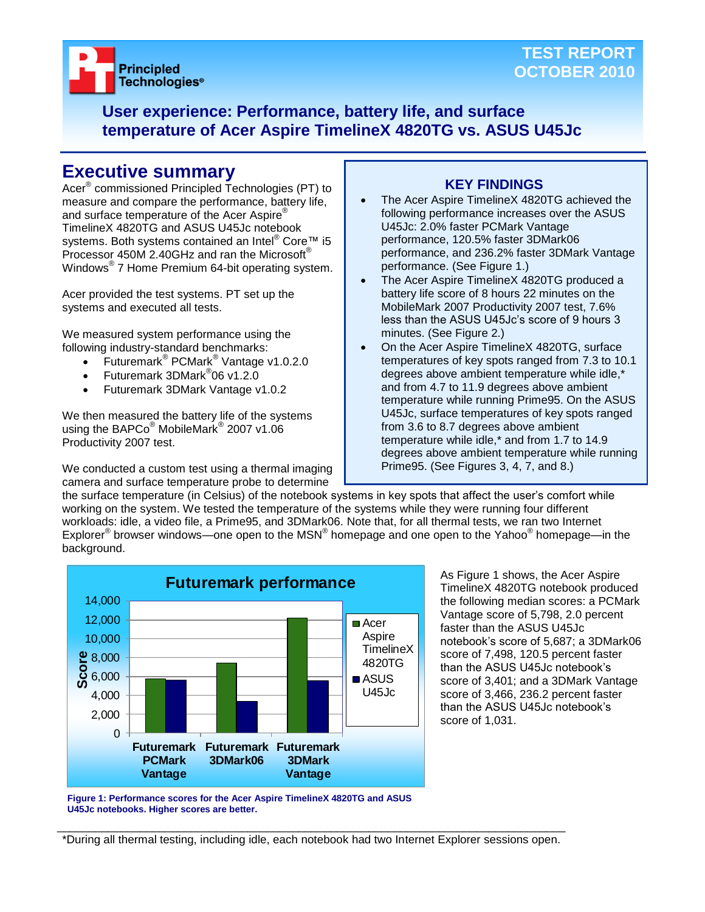

# **TEST REPORT OCTOBER 2010**

**User experience: Performance, battery life, and surface temperature of Acer Aspire TimelineX 4820TG vs. ASUS U45Jc**

# **Executive summary**

Acer® commissioned Principled Technologies (PT) to measure and compare the performance, battery life, and surface temperature of the Acer Aspire<sup>®</sup> TimelineX 4820TG and ASUS U45Jc notebook systems. Both systems contained an Intel<sup>®</sup> Core™ i5 Processor 450M 2.40GHz and ran the Microsoft® Windows® 7 Home Premium 64-bit operating system.

Acer provided the test systems. PT set up the systems and executed all tests.

We measured system performance using the following industry-standard benchmarks:

- Futuremark<sup>®</sup> PCMark<sup>®</sup> Vantage v1.0.2.0
- Futuremark 3DMark<sup>®</sup>06 v1.2.0
- Futuremark 3DMark Vantage v1.0.2

We then measured the battery life of the systems using the BAPCo® MobileMark<sup>®</sup> 2007 v1.06 Productivity 2007 test.

We conducted a custom test using a thermal imaging camera and surface temperature probe to determine

# **KEY FINDINGS**

- The Acer Aspire TimelineX 4820TG achieved the following performance increases over the ASUS U45Jc: 2.0% faster PCMark Vantage performance, 120.5% faster 3DMark06 performance, and 236.2% faster 3DMark Vantage performance. (See Figure 1.)
- The Acer Aspire TimelineX 4820TG produced a battery life score of 8 hours 22 minutes on the MobileMark 2007 Productivity 2007 test, 7.6% less than the ASUS U45Jc's score of 9 hours 3 minutes. (See Figure 2.)
- On the Acer Aspire TimelineX 4820TG, surface temperatures of key spots ranged from 7.3 to 10.1 degrees above ambient temperature while idle,\* and from 4.7 to 11.9 degrees above ambient temperature while running Prime95. On the ASUS U45Jc, surface temperatures of key spots ranged from 3.6 to 8.7 degrees above ambient temperature while idle,\* and from 1.7 to 14.9 degrees above ambient temperature while running Prime95. (See Figures 3, 4, 7, and 8.)

the surface temperature (in Celsius) of the notebook systems in key spots that affect the user's comfort while working on the system. We tested the temperature of the systems while they were running four different workloads: idle, a video file, a Prime95, and 3DMark06. Note that, for all thermal tests, we ran two Internet Explorer<sup>®</sup> browser windows—one open to the MSN<sup>®</sup> homepage and one open to the Yahoo<sup>®</sup> homepage—in the background.



As Figure 1 shows, the Acer Aspire TimelineX 4820TG notebook produced the following median scores: a PCMark Vantage score of 5,798, 2.0 percent faster than the ASUS U45Jc notebook's score of 5,687; a 3DMark06 score of 7,498, 120.5 percent faster than the ASUS U45Jc notebook's score of 3,401; and a 3DMark Vantage score of 3,466, 236.2 percent faster than the ASUS U45Jc notebook's score of 1,031.

**Figure 1: Performance scores for the Acer Aspire TimelineX 4820TG and ASUS U45Jc notebooks. Higher scores are better.**

\_\_\_\_\_\_\_\_\_\_\_\_\_\_\_\_\_\_\_\_\_\_\_\_\_\_\_\_\_\_\_\_\_\_\_\_\_\_\_\_\_\_\_\_\_\_\_\_\_\_\_\_\_\_\_\_\_\_\_\_\_\_\_\_\_\_\_\_\_\_\_\_\_\_\_\_\_\_\_\_ \*During all thermal testing, including idle, each notebook had two Internet Explorer sessions open.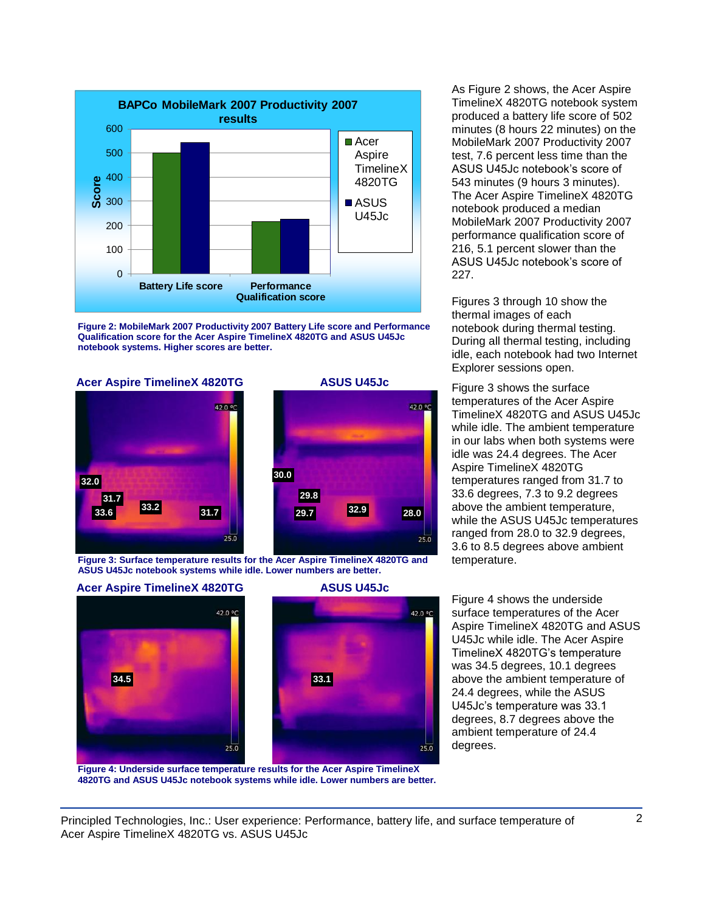

**Figure 2: MobileMark 2007 Productivity 2007 Battery Life score and Performance Qualification score for the Acer Aspire TimelineX 4820TG and ASUS U45Jc notebook systems. Higher scores are better.**

# **Acer Aspire TimelineX 4820TG ASUS U45Jc** Figure 3 shows the surface





**Figure 3: Surface temperature results for the Acer Aspire TimelineX 4820TG and** temperature. **ASUS U45Jc notebook systems while idle. Lower numbers are better.**





**Figure 4: Underside surface temperature results for the Acer Aspire TimelineX 4820TG and ASUS U45Jc notebook systems while idle. Lower numbers are better.** As Figure 2 shows, the Acer Aspire TimelineX 4820TG notebook system produced a battery life score of 502 minutes (8 hours 22 minutes) on the MobileMark 2007 Productivity 2007 test, 7.6 percent less time than the ASUS U45Jc notebook's score of 543 minutes (9 hours 3 minutes). The Acer Aspire TimelineX 4820TG notebook produced a median MobileMark 2007 Productivity 2007 performance qualification score of 216, 5.1 percent slower than the ASUS U45Jc notebook's score of 227.

Figures 3 through 10 show the thermal images of each notebook during thermal testing. During all thermal testing, including idle, each notebook had two Internet Explorer sessions open.

temperatures of the Acer Aspire TimelineX 4820TG and ASUS U45Jc while idle. The ambient temperature in our labs when both systems were idle was 24.4 degrees. The Acer Aspire TimelineX 4820TG temperatures ranged from 31.7 to 33.6 degrees, 7.3 to 9.2 degrees above the ambient temperature, while the ASUS U45Jc temperatures ranged from 28.0 to 32.9 degrees, 3.6 to 8.5 degrees above ambient

Figure 4 shows the underside surface temperatures of the Acer Aspire TimelineX 4820TG and ASUS U45Jc while idle. The Acer Aspire TimelineX 4820TG's temperature was 34.5 degrees, 10.1 degrees above the ambient temperature of 24.4 degrees, while the ASUS U45Jc's temperature was 33.1 degrees, 8.7 degrees above the ambient temperature of 24.4 degrees.

Principled Technologies, Inc.: User experience: Performance, battery life, and surface temperature of 2 Acer Aspire TimelineX 4820TG vs. ASUS U45Jc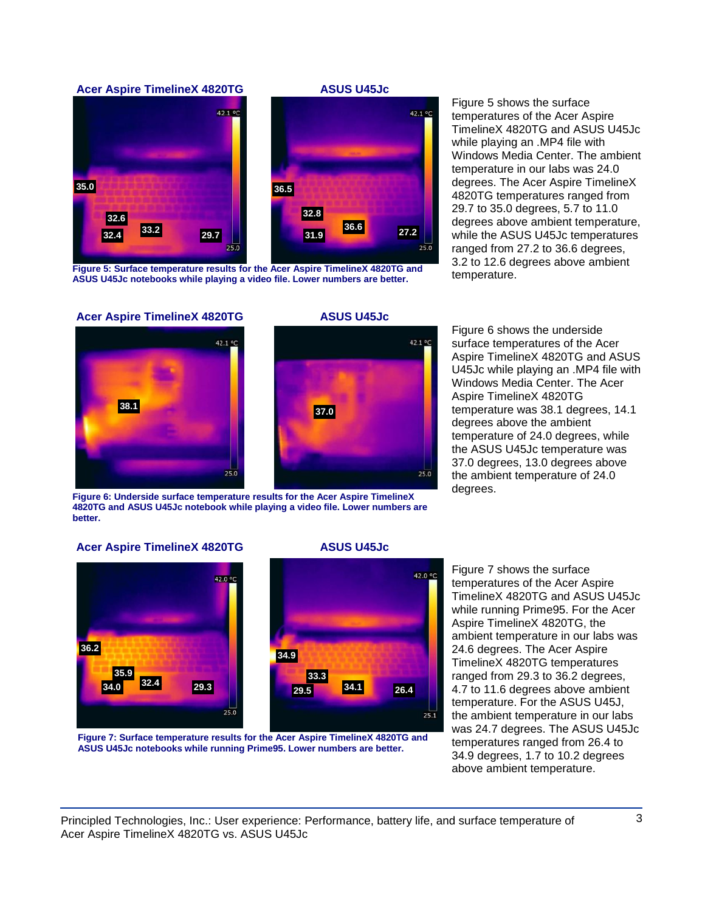## **Acer Aspire TimelineX 4820TG ASUS U45Jc**





Figure 5: Surface temperature results for the Acer Aspire TimelineX 4820TG and<br>ASUS UAE In petabooks while playing a video file I ower numbers are better. **ASUS U45Jc notebooks while playing a video file. Lower numbers are better.**

Figure 5 shows the surface temperatures of the Acer Aspire TimelineX 4820TG and ASUS U45Jc while playing an .MP4 file with Windows Media Center. The ambient temperature in our labs was 24.0 degrees. The Acer Aspire TimelineX 4820TG temperatures ranged from 29.7 to 35.0 degrees, 5.7 to 11.0 degrees above ambient temperature, while the ASUS U45Jc temperatures ranged from 27.2 to 36.6 degrees, 3.2 to 12.6 degrees above ambient

#### **Acer Aspire TimelineX 4820TG ASUS U45Jc**





**Figure 6: Underside surface temperature results for the Acer Aspire TimelineX 4820TG and ASUS U45Jc notebook while playing a video file. Lower numbers are better.**

Figure 6 shows the underside surface temperatures of the Acer Aspire TimelineX 4820TG and ASUS U45Jc while playing an .MP4 file with Windows Media Center. The Acer Aspire TimelineX 4820TG temperature was 38.1 degrees, 14.1 degrees above the ambient temperature of 24.0 degrees, while the ASUS U45Jc temperature was 37.0 degrees, 13.0 degrees above the ambient temperature of 24.0 degrees.

#### **Acer Aspire TimelineX 4820TG ASUS U45Jc**



**26.4**

 $25.1$ 

42.0 °C



**Figure 7: Surface temperature results for the Acer Aspire TimelineX 4820TG and ASUS U45Jc notebooks while running Prime95. Lower numbers are better.**

Figure 7 shows the surface temperatures of the Acer Aspire TimelineX 4820TG and ASUS U45Jc while running Prime95. For the Acer Aspire TimelineX 4820TG, the ambient temperature in our labs was 24.6 degrees. The Acer Aspire TimelineX 4820TG temperatures ranged from 29.3 to 36.2 degrees, 4.7 to 11.6 degrees above ambient temperature. For the ASUS U45J, the ambient temperature in our labs was 24.7 degrees. The ASUS U45Jc temperatures ranged from 26.4 to 34.9 degrees, 1.7 to 10.2 degrees above ambient temperature.

Principled Technologies, Inc.: User experience: Performance, battery life, and surface temperature of 3 Acer Aspire TimelineX 4820TG vs. ASUS U45Jc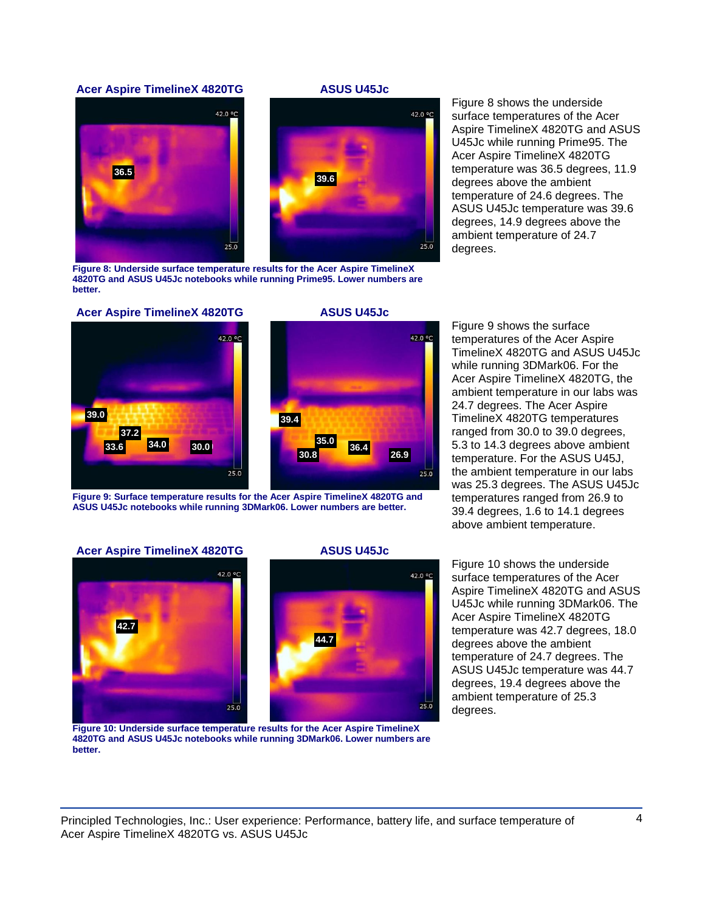#### **Acer Aspire TimelineX 4820TG ASUS U45Jc**





**Figure 8: Underside surface temperature results for the Acer Aspire TimelineX 4820TG and ASUS U45Jc notebooks while running Prime95. Lower numbers are better.**

Figure 8 shows the underside surface temperatures of the Acer Aspire TimelineX 4820TG and ASUS U45Jc while running Prime95. The Acer Aspire TimelineX 4820TG temperature was 36.5 degrees, 11.9 degrees above the ambient temperature of 24.6 degrees. The ASUS U45Jc temperature was 39.6 degrees, 14.9 degrees above the ambient temperature of 24.7 degrees.







**Figure 9: Surface temperature results for the Acer Aspire TimelineX 4820TG and ASUS U45Jc notebooks while running 3DMark06. Lower numbers are better.**

Figure 9 shows the surface temperatures of the Acer Aspire TimelineX 4820TG and ASUS U45Jc while running 3DMark06. For the Acer Aspire TimelineX 4820TG, the ambient temperature in our labs was 24.7 degrees. The Acer Aspire TimelineX 4820TG temperatures ranged from 30.0 to 39.0 degrees, 5.3 to 14.3 degrees above ambient temperature. For the ASUS U45J, the ambient temperature in our labs was 25.3 degrees. The ASUS U45Jc temperatures ranged from 26.9 to 39.4 degrees, 1.6 to 14.1 degrees above ambient temperature.

#### **Acer Aspire TimelineX 4820TG ASUS U45Jc**



42.0 °C

 $25.0$ 



**Figure 10: Underside surface temperature results for the Acer Aspire TimelineX 4820TG and ASUS U45Jc notebooks while running 3DMark06. Lower numbers are better.**

Figure 10 shows the underside surface temperatures of the Acer Aspire TimelineX 4820TG and ASUS U45Jc while running 3DMark06. The Acer Aspire TimelineX 4820TG temperature was 42.7 degrees, 18.0 degrees above the ambient temperature of 24.7 degrees. The ASUS U45Jc temperature was 44.7 degrees, 19.4 degrees above the ambient temperature of 25.3 degrees.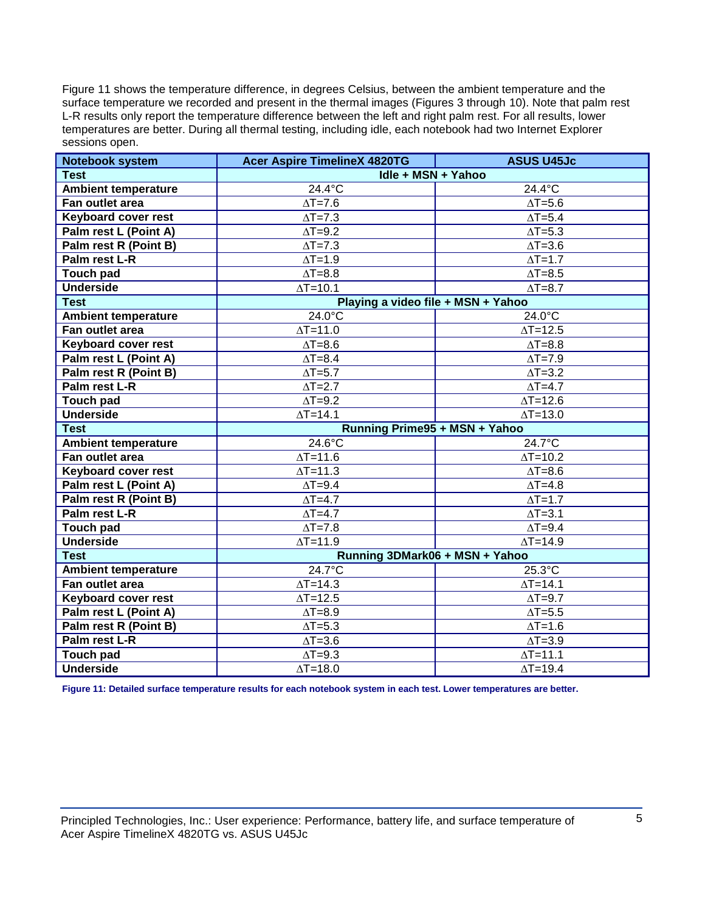Figure 11 shows the temperature difference, in degrees Celsius, between the ambient temperature and the surface temperature we recorded and present in the thermal images (Figures 3 through 10). Note that palm rest L-R results only report the temperature difference between the left and right palm rest. For all results, lower temperatures are better. During all thermal testing, including idle, each notebook had two Internet Explorer sessions open.

| Notebook system            | <b>Acer Aspire TimelineX 4820TG</b> | <b>ASUS U45Jc</b>           |
|----------------------------|-------------------------------------|-----------------------------|
| <b>Test</b>                | Idle + MSN + Yahoo                  |                             |
| <b>Ambient temperature</b> | $24.4^{\circ}$ C                    | 24.4°C                      |
| Fan outlet area            | $\Delta T = 7.6$                    | $\Delta T = 5.6$            |
| <b>Keyboard cover rest</b> | $\Delta T = 7.3$                    | $\Delta T = 5.4$            |
| Palm rest L (Point A)      | $\Delta T = 9.2$                    | $\Delta T = 5.3$            |
| Palm rest R (Point B)      | $\Delta T = 7.3$                    | $\Delta T = 3.6$            |
| Palm rest L-R              | $\Delta T = 1.9$                    | $\Delta T = 1.7$            |
| <b>Touch pad</b>           | $\Delta T = 8.8$                    | $\Delta T = 8.5$            |
| <b>Underside</b>           | $\Delta T = 10.1$                   | $\Delta T = 8.7$            |
| <b>Test</b>                | Playing a video file + MSN + Yahoo  |                             |
| <b>Ambient temperature</b> | 24.0°C                              | 24.0°C                      |
| Fan outlet area            | $\Delta T = 11.0$                   | $\Delta T = 12.5$           |
| <b>Keyboard cover rest</b> | $\Delta T = 8.6$                    | $\Delta T = 8.8$            |
| Palm rest L (Point A)      | $\Delta T = 8.4$                    | $\Delta T = 7.9$            |
| Palm rest R (Point B)      | $\overline{\Delta T}$ =5.7          | $\Delta T = 3.2$            |
| Palm rest L-R              | $\Delta T = 2.7$                    | $\Delta T = 4.7$            |
| <b>Touch pad</b>           | $\Delta T = 9.2$                    | $\Delta T = 12.6$           |
| <b>Underside</b>           | $\Delta T = 14.1$                   | $\Delta T = 13.0$           |
| <b>Test</b>                | Running Prime95 + MSN + Yahoo       |                             |
| <b>Ambient temperature</b> | $24.6^{\circ}$ C                    | $24.7^{\circ}$ C            |
| Fan outlet area            | $\Delta T = 11.6$                   | $\Delta T = 10.2$           |
| <b>Keyboard cover rest</b> | $\Delta T = 11.3$                   | $\Delta T = 8.6$            |
| Palm rest L (Point A)      | $\Delta T = 9.4$                    | $\Delta T = 4.8$            |
| Palm rest R (Point B)      | $\Delta T = 4.7$                    | $\Delta T = 1.7$            |
| Palm rest L-R              | $\Delta T = 4.7$                    | $\Delta T = 3.1$            |
| <b>Touch pad</b>           | $\Delta T = 7.8$                    | $\Delta T = 9.4$            |
| <b>Underside</b>           | $\Delta T = 11.9$                   | $\Delta T = 14.9$           |
| <b>Test</b>                | Running 3DMark06 + MSN + Yahoo      |                             |
| <b>Ambient temperature</b> | $24.7^{\circ}$ C                    | $25.3^{\circ}$ C            |
| Fan outlet area            | $\overline{\Delta T}$ =14.3         | $\overline{\Delta T}$ =14.1 |
| <b>Keyboard cover rest</b> | $\Delta T = 12.5$                   | $\Delta T = 9.7$            |
| Palm rest L (Point A)      | $\Delta T = 8.9$                    | $\overline{\Delta T}$ =5.5  |
| Palm rest R (Point B)      | $\Delta T = 5.3$                    | $\Delta T = 1.6$            |
| Palm rest L-R              | $\overline{\Delta T} = 3.6$         | $\Delta T = 3.9$            |
| <b>Touch pad</b>           | $\overline{\Delta T}$ =9.3          | $\Delta T = 11.1$           |
| <b>Underside</b>           | $\Delta T = 18.0$                   | $\Delta T = 19.4$           |

**Figure 11: Detailed surface temperature results for each notebook system in each test. Lower temperatures are better.**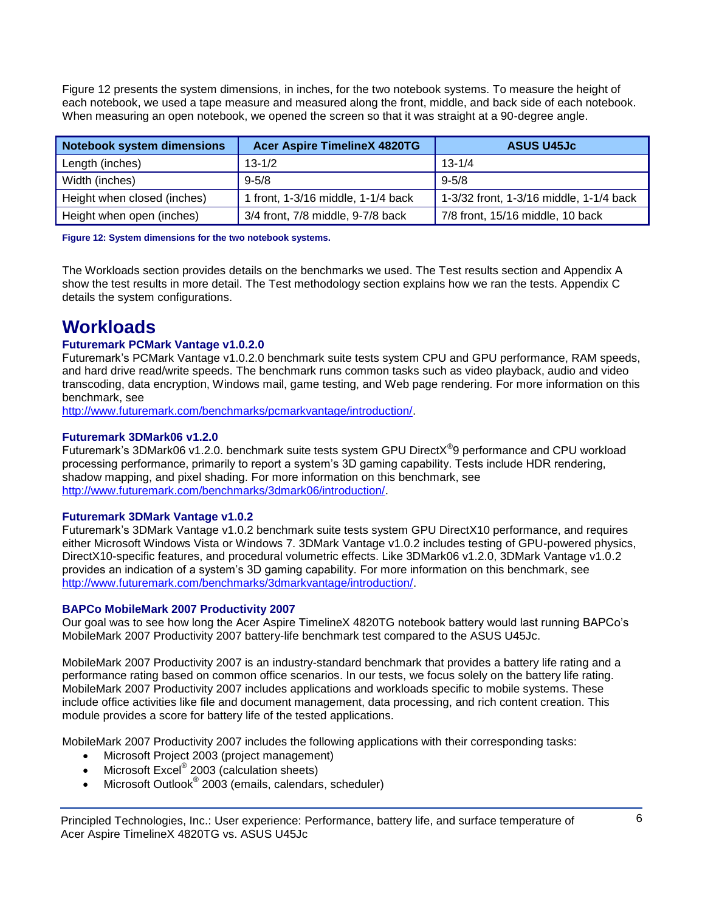Figure 12 presents the system dimensions, in inches, for the two notebook systems. To measure the height of each notebook, we used a tape measure and measured along the front, middle, and back side of each notebook. When measuring an open notebook, we opened the screen so that it was straight at a 90-degree angle.

| <b>Notebook system dimensions</b> | <b>Acer Aspire TimelineX 4820TG</b> | <b>ASUS U45Jc</b>                       |
|-----------------------------------|-------------------------------------|-----------------------------------------|
| Length (inches)                   | $13 - 1/2$                          | $13 - 1/4$                              |
| Width (inches)                    | $9 - 5/8$                           | $9 - 5/8$                               |
| Height when closed (inches)       | 1 front, 1-3/16 middle, 1-1/4 back  | 1-3/32 front, 1-3/16 middle, 1-1/4 back |
| Height when open (inches)         | 3/4 front, 7/8 middle, 9-7/8 back   | 7/8 front, 15/16 middle, 10 back        |

**Figure 12: System dimensions for the two notebook systems.**

The Workloads section provides details on the benchmarks we used. The Test results section and Appendix A show the test results in more detail. The Test methodology section explains how we ran the tests. Appendix C details the system configurations.

# **Workloads**

# **Futuremark PCMark Vantage v1.0.2.0**

Futuremark's PCMark Vantage v1.0.2.0 benchmark suite tests system CPU and GPU performance, RAM speeds, and hard drive read/write speeds. The benchmark runs common tasks such as video playback, audio and video transcoding, data encryption, Windows mail, game testing, and Web page rendering. For more information on this benchmark, see

[http://www.futuremark.com/benchmarks/pcmarkvantage/introduction/.](http://www.futuremark.com/benchmarks/pcmarkvantage/introduction/)

# **Futuremark 3DMark06 v1.2.0**

Futuremark's 3DMark06 v1.2.0. benchmark suite tests system GPU DirectX<sup>®</sup>9 performance and CPU workload processing performance, primarily to report a system's 3D gaming capability. Tests include HDR rendering, shadow mapping, and pixel shading. For more information on this benchmark, see [http://www.futuremark.com/benchmarks/3dmark06/introduction/.](http://www.futuremark.com/benchmarks/3dmark06/introduction/)

## **Futuremark 3DMark Vantage v1.0.2**

Futuremark's 3DMark Vantage v1.0.2 benchmark suite tests system GPU DirectX10 performance, and requires either Microsoft Windows Vista or Windows 7. 3DMark Vantage v1.0.2 includes testing of GPU-powered physics, DirectX10-specific features, and procedural volumetric effects. Like 3DMark06 v1.2.0, 3DMark Vantage v1.0.2 provides an indication of a system's 3D gaming capability. For more information on this benchmark, see [http://www.futuremark.com/benchmarks/3dmarkvantage/introduction/.](http://www.futuremark.com/benchmarks/3dmarkvantage/introduction/)

## **BAPCo MobileMark 2007 Productivity 2007**

Our goal was to see how long the Acer Aspire TimelineX 4820TG notebook battery would last running BAPCo's MobileMark 2007 Productivity 2007 battery-life benchmark test compared to the ASUS U45Jc.

MobileMark 2007 Productivity 2007 is an industry-standard benchmark that provides a battery life rating and a performance rating based on common office scenarios. In our tests, we focus solely on the battery life rating. MobileMark 2007 Productivity 2007 includes applications and workloads specific to mobile systems. These include office activities like file and document management, data processing, and rich content creation. This module provides a score for battery life of the tested applications.

MobileMark 2007 Productivity 2007 includes the following applications with their corresponding tasks:

- Microsoft Project 2003 (project management)
- Microsoft Excel<sup>®</sup> 2003 (calculation sheets)
- Microsoft Outlook<sup>®</sup> 2003 (emails, calendars, scheduler)

Principled Technologies, Inc.: User experience: Performance, battery life, and surface temperature of 6 Acer Aspire TimelineX 4820TG vs. ASUS U45Jc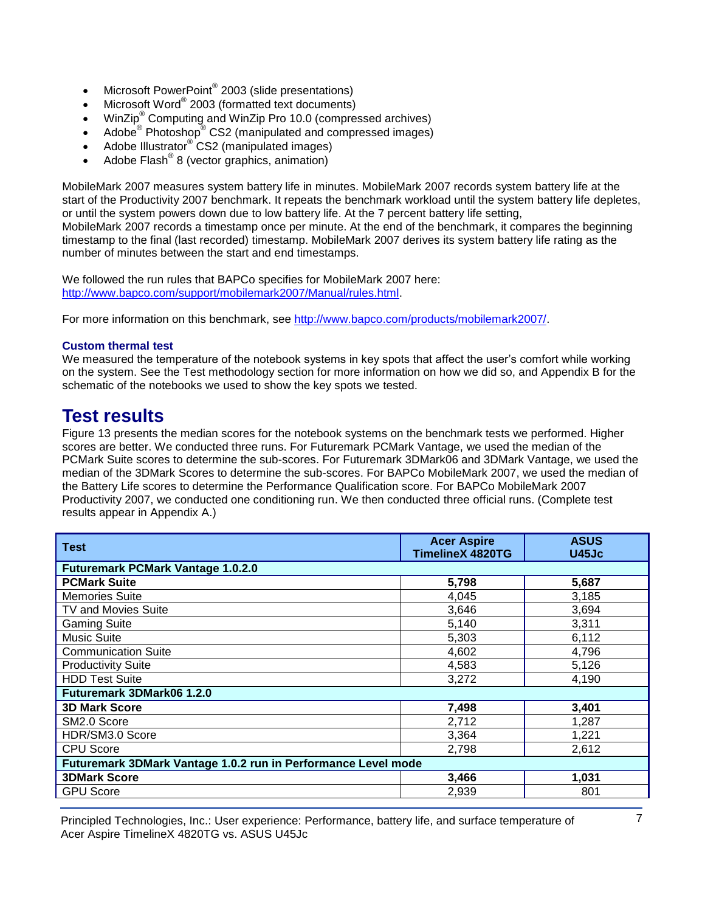- Microsoft PowerPoint® 2003 (slide presentations)
- Microsoft Word® 2003 (formatted text documents)
- WinZip® Computing and WinZip Pro 10.0 (compressed archives)
- Adobe  $^{\circ}$  Photoshop $^{\circ}$  CS2 (manipulated and compressed images)
- Adobe Illustrator<sup>®</sup> CS2 (manipulated images)
- $\bullet$  Adobe Flash<sup>®</sup> 8 (vector graphics, animation)

MobileMark 2007 measures system battery life in minutes. MobileMark 2007 records system battery life at the start of the Productivity 2007 benchmark. It repeats the benchmark workload until the system battery life depletes, or until the system powers down due to low battery life. At the 7 percent battery life setting, MobileMark 2007 records a timestamp once per minute. At the end of the benchmark, it compares the beginning timestamp to the final (last recorded) timestamp. MobileMark 2007 derives its system battery life rating as the number of minutes between the start and end timestamps.

We followed the run rules that BAPCo specifies for MobileMark 2007 here: [http://www.bapco.com/support/mobilemark2007/Manual/rules.html.](http://www.bapco.com/support/mobilemark2007/Manual/rules.html)

For more information on this benchmark, see [http://www.bapco.com/products/mobilemark2007/.](http://www.bapco.com/products/mobilemark2007/)

# **Custom thermal test**

We measured the temperature of the notebook systems in key spots that affect the user's comfort while working on the system. See the Test methodology section for more information on how we did so, and Appendix B for the schematic of the notebooks we used to show the key spots we tested.

# **Test results**

Figure 13 presents the median scores for the notebook systems on the benchmark tests we performed. Higher scores are better. We conducted three runs. For Futuremark PCMark Vantage, we used the median of the PCMark Suite scores to determine the sub-scores. For Futuremark 3DMark06 and 3DMark Vantage, we used the median of the 3DMark Scores to determine the sub-scores. For BAPCo MobileMark 2007, we used the median of the Battery Life scores to determine the Performance Qualification score. For BAPCo MobileMark 2007 Productivity 2007, we conducted one conditioning run. We then conducted three official runs. (Complete test results appear in Appendix A.)

| <b>Acer Aspire</b><br><b>TimelineX 4820TG</b>                 | <b>ASUS</b><br>U45Jc |  |  |
|---------------------------------------------------------------|----------------------|--|--|
|                                                               |                      |  |  |
| 5,798                                                         | 5,687                |  |  |
| 4,045                                                         | 3,185                |  |  |
| 3,646                                                         | 3,694                |  |  |
| 5,140                                                         | 3,311                |  |  |
| 5,303                                                         | 6,112                |  |  |
| 4,602                                                         | 4,796                |  |  |
| 4,583                                                         | 5,126                |  |  |
| 3,272                                                         | 4.190                |  |  |
| Futuremark 3DMark06 1.2.0                                     |                      |  |  |
| 7,498                                                         | 3.401                |  |  |
| 2,712                                                         | 1,287                |  |  |
| 3,364                                                         | 1,221                |  |  |
| 2,798                                                         | 2,612                |  |  |
| Futuremark 3DMark Vantage 1.0.2 run in Performance Level mode |                      |  |  |
| 3,466                                                         | 1,031                |  |  |
| 2,939                                                         | 801                  |  |  |
|                                                               |                      |  |  |

Principled Technologies, Inc.: User experience: Performance, battery life, and surface temperature of 7 Acer Aspire TimelineX 4820TG vs. ASUS U45Jc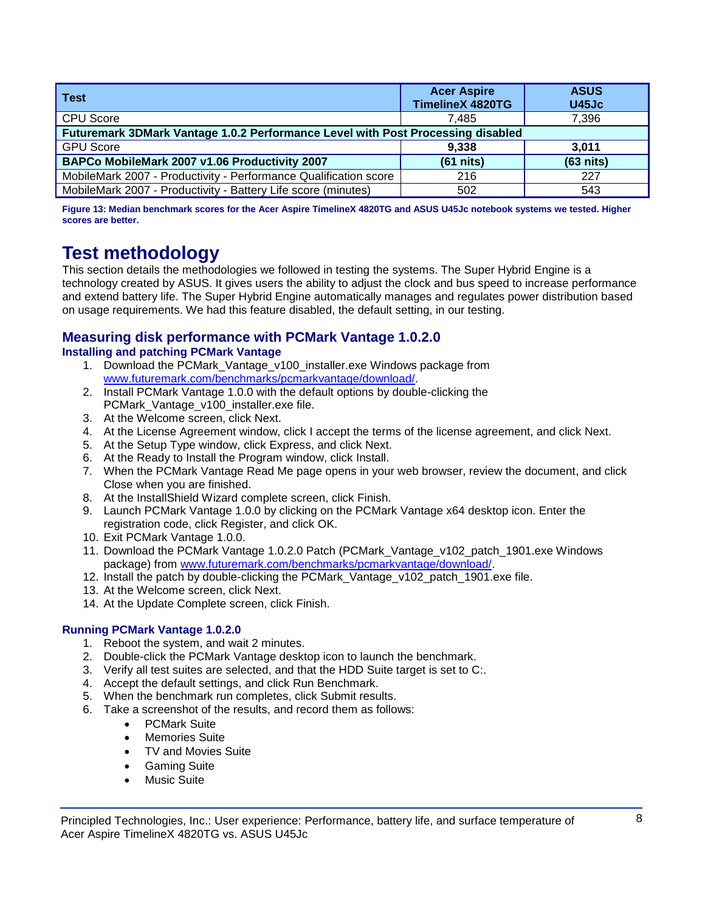| <b>Test</b>                                                                     | <b>Acer Aspire</b><br><b>TimelineX 4820TG</b> | <b>ASUS</b><br><b>U45Jc</b> |
|---------------------------------------------------------------------------------|-----------------------------------------------|-----------------------------|
| <b>CPU Score</b>                                                                | 7.485                                         | 7,396                       |
| Futuremark 3DMark Vantage 1.0.2 Performance Level with Post Processing disabled |                                               |                             |
| <b>GPU Score</b>                                                                | 9,338                                         | 3.011                       |
| BAPCo MobileMark 2007 v1.06 Productivity 2007                                   | $(61$ nits)                                   | $(63$ nits)                 |
| MobileMark 2007 - Productivity - Performance Qualification score                | 216                                           | 227                         |
| MobileMark 2007 - Productivity - Battery Life score (minutes)                   | 502                                           | 543                         |

**Figure 13: Median benchmark scores for the Acer Aspire TimelineX 4820TG and ASUS U45Jc notebook systems we tested. Higher scores are better.**

# **Test methodology**

This section details the methodologies we followed in testing the systems. The Super Hybrid Engine is a technology created by ASUS. It gives users the ability to adjust the clock and bus speed to increase performance and extend battery life. The Super Hybrid Engine automatically manages and regulates power distribution based on usage requirements. We had this feature disabled, the default setting, in our testing.

# **Measuring disk performance with PCMark Vantage 1.0.2.0**

# **Installing and patching PCMark Vantage**

- 1. Download the PCMark\_Vantage\_v100\_installer.exe Windows package from [www.futuremark.com/benchmarks/pcmarkvantage/download/.](http://www.futuremark.com/benchmarks/pcmarkvantage/download/)
- 2. Install PCMark Vantage 1.0.0 with the default options by double-clicking the PCMark\_Vantage\_v100\_installer.exe file.
- 3. At the Welcome screen, click Next.
- 4. At the License Agreement window, click I accept the terms of the license agreement, and click Next.
- 5. At the Setup Type window, click Express, and click Next.
- 6. At the Ready to Install the Program window, click Install.
- 7. When the PCMark Vantage Read Me page opens in your web browser, review the document, and click Close when you are finished.
- 8. At the InstallShield Wizard complete screen, click Finish.
- 9. Launch PCMark Vantage 1.0.0 by clicking on the PCMark Vantage x64 desktop icon. Enter the registration code, click Register, and click OK.
- 10. Exit PCMark Vantage 1.0.0.
- 11. Download the PCMark Vantage 1.0.2.0 Patch (PCMark\_Vantage\_v102\_patch\_1901.exe Windows package) from [www.futuremark.com/benchmarks/pcmarkvantage/download/.](http://www.futuremark.com/benchmarks/pcmarkvantage/download/)
- 12. Install the patch by double-clicking the PCMark Vantage v102 patch 1901.exe file.
- 13. At the Welcome screen, click Next.
- 14. At the Update Complete screen, click Finish.

# **Running PCMark Vantage 1.0.2.0**

- 1. Reboot the system, and wait 2 minutes.
- 2. Double-click the PCMark Vantage desktop icon to launch the benchmark.
- 3. Verify all test suites are selected, and that the HDD Suite target is set to C:.
- 4. Accept the default settings, and click Run Benchmark.
- 5. When the benchmark run completes, click Submit results.
- 6. Take a screenshot of the results, and record them as follows:
	- PCMark Suite
	- Memories Suite
	- TV and Movies Suite
	- **•** Gaming Suite
	- Music Suite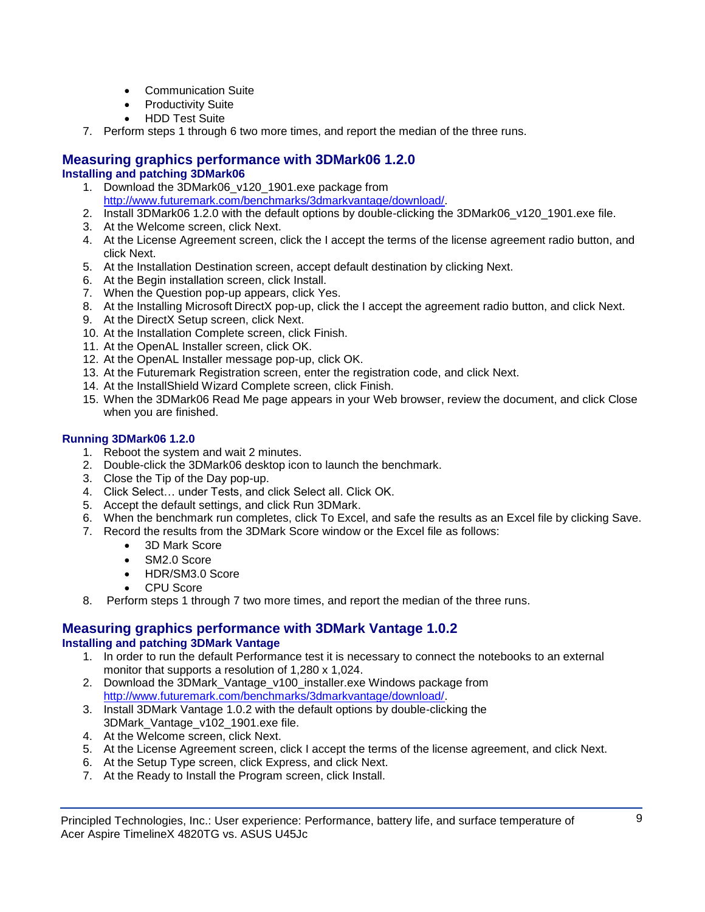- Communication Suite
- Productivity Suite
- HDD Test Suite
- 7. Perform steps 1 through 6 two more times, and report the median of the three runs.

## **Measuring graphics performance with 3DMark06 1.2.0 Installing and patching 3DMark06**

- 1. Download the 3DMark06\_v120\_1901.exe package from [http://www.futuremark.com/benchmarks/3dmarkvantage/download/.](http://www.futuremark.com/benchmarks/3dmarkvantage/download/)
- 2. Install 3DMark06 1.2.0 with the default options by double-clicking the 3DMark06 v120 1901.exe file.
- 3. At the Welcome screen, click Next.
- 4. At the License Agreement screen, click the I accept the terms of the license agreement radio button, and click Next.
- 5. At the Installation Destination screen, accept default destination by clicking Next.
- 6. At the Begin installation screen, click Install.
- 7. When the Question pop-up appears, click Yes.
- 8. At the Installing Microsoft DirectX pop-up, click the I accept the agreement radio button, and click Next.
- 9. At the DirectX Setup screen, click Next.
- 10. At the Installation Complete screen, click Finish.
- 11. At the OpenAL Installer screen, click OK.
- 12. At the OpenAL Installer message pop-up, click OK.
- 13. At the Futuremark Registration screen, enter the registration code, and click Next.
- 14. At the InstallShield Wizard Complete screen, click Finish.
- 15. When the 3DMark06 Read Me page appears in your Web browser, review the document, and click Close when you are finished.

# **Running 3DMark06 1.2.0**

- 1. Reboot the system and wait 2 minutes.
- 2. Double-click the 3DMark06 desktop icon to launch the benchmark.
- 3. Close the Tip of the Day pop-up.
- 4. Click Select… under Tests, and click Select all. Click OK.
- 5. Accept the default settings, and click Run 3DMark.
- 6. When the benchmark run completes, click To Excel, and safe the results as an Excel file by clicking Save.
- 7. Record the results from the 3DMark Score window or the Excel file as follows:
	- 3D Mark Score
	- SM2.0 Score
	- HDR/SM3.0 Score
	- CPU Score
- 8. Perform steps 1 through 7 two more times, and report the median of the three runs.

# **Measuring graphics performance with 3DMark Vantage 1.0.2 Installing and patching 3DMark Vantage**

- 1. In order to run the default Performance test it is necessary to connect the notebooks to an external monitor that supports a resolution of 1,280 x 1,024.
- 2. Download the 3DMark\_Vantage\_v100\_installer.exe Windows package from [http://www.futuremark.com/benchmarks/3dmarkvantage/download/.](http://www.futuremark.com/benchmarks/3dmarkvantage/download/)
- 3. Install 3DMark Vantage 1.0.2 with the default options by double-clicking the 3DMark\_Vantage\_v102\_1901.exe file.
- 4. At the Welcome screen, click Next.
- 5. At the License Agreement screen, click I accept the terms of the license agreement, and click Next.
- 6. At the Setup Type screen, click Express, and click Next.
- 7. At the Ready to Install the Program screen, click Install.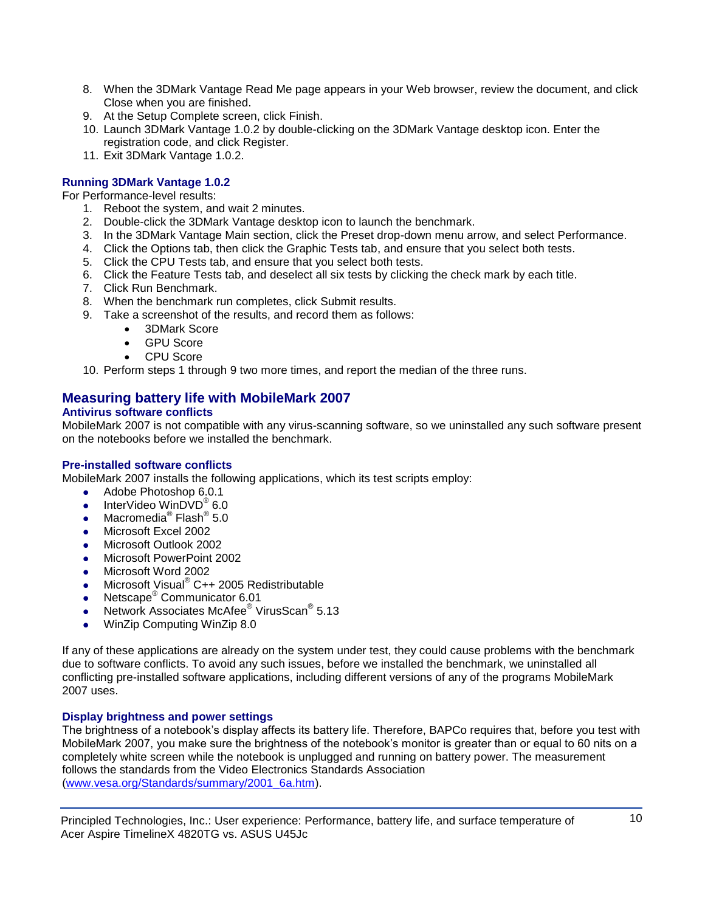- 8. When the 3DMark Vantage Read Me page appears in your Web browser, review the document, and click Close when you are finished.
- 9. At the Setup Complete screen, click Finish.
- 10. Launch 3DMark Vantage 1.0.2 by double-clicking on the 3DMark Vantage desktop icon. Enter the registration code, and click Register.
- 11. Exit 3DMark Vantage 1.0.2.

# **Running 3DMark Vantage 1.0.2**

For Performance-level results:

- 1. Reboot the system, and wait 2 minutes.
- 2. Double-click the 3DMark Vantage desktop icon to launch the benchmark.
- 3. In the 3DMark Vantage Main section, click the Preset drop-down menu arrow, and select Performance.
- 4. Click the Options tab, then click the Graphic Tests tab, and ensure that you select both tests.
- 5. Click the CPU Tests tab, and ensure that you select both tests.
- 6. Click the Feature Tests tab, and deselect all six tests by clicking the check mark by each title.
- 7. Click Run Benchmark.
- 8. When the benchmark run completes, click Submit results.
- 9. Take a screenshot of the results, and record them as follows:
	- 3DMark Score
	- GPU Score
	- CPU Score
- 10. Perform steps 1 through 9 two more times, and report the median of the three runs.

# **Measuring battery life with MobileMark 2007**

# **Antivirus software conflicts**

MobileMark 2007 is not compatible with any virus-scanning software, so we uninstalled any such software present on the notebooks before we installed the benchmark.

## **Pre-installed software conflicts**

MobileMark 2007 installs the following applications, which its test scripts employ:

- Adobe Photoshop 6.0.1
- InterVideo WinDVD<sup>®</sup> 6.0
- Macromedia<sup>®</sup> Flash<sup>®</sup> 5.0
- Microsoft Excel 2002
- Microsoft Outlook 2002
- Microsoft PowerPoint 2002
- Microsoft Word 2002
- Microsoft Visual<sup>®</sup> C++ 2005 Redistributable
- Netscape<sup>®</sup> Communicator 6.01
- Network Associates McAfee<sup>®</sup> VirusScan<sup>®</sup> 5.13
- WinZip Computing WinZip 8.0

If any of these applications are already on the system under test, they could cause problems with the benchmark due to software conflicts. To avoid any such issues, before we installed the benchmark, we uninstalled all conflicting pre-installed software applications, including different versions of any of the programs MobileMark 2007 uses.

## **Display brightness and power settings**

The brightness of a notebook's display affects its battery life. Therefore, BAPCo requires that, before you test with MobileMark 2007, you make sure the brightness of the notebook's monitor is greater than or equal to 60 nits on a completely white screen while the notebook is unplugged and running on battery power. The measurement follows the standards from the Video Electronics Standards Association [\(www.vesa.org/Standards/summary/2001\\_6a.htm\)](http://www.vesa.org/Standards/summary/2001_6a.htm).

Principled Technologies, Inc.: User experience: Performance, battery life, and surface temperature of 10 Acer Aspire TimelineX 4820TG vs. ASUS U45Jc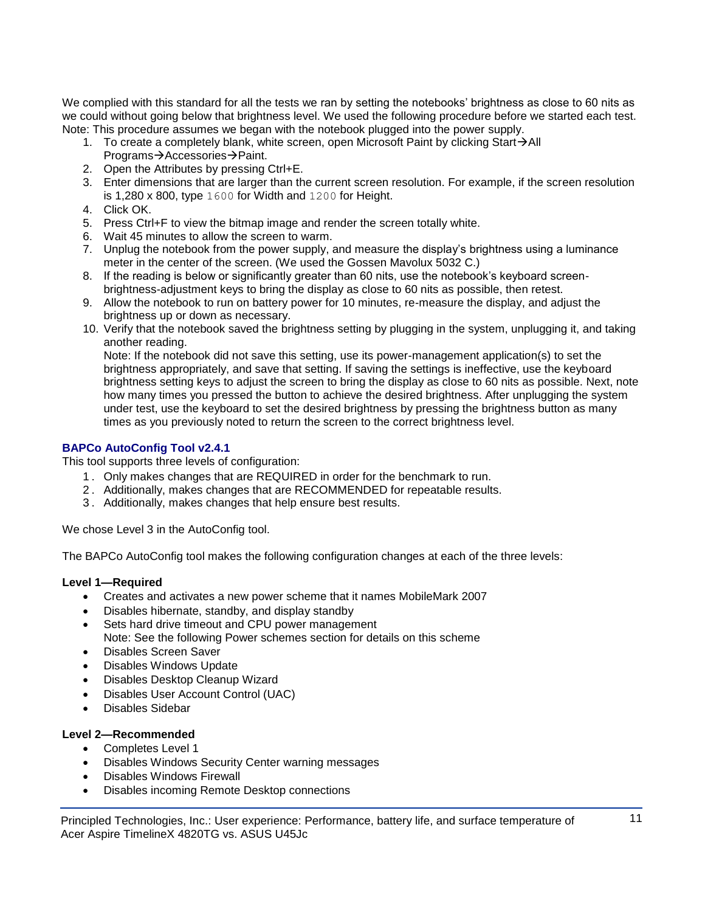We complied with this standard for all the tests we ran by setting the notebooks' brightness as close to 60 nits as we could without going below that brightness level. We used the following procedure before we started each test. Note: This procedure assumes we began with the notebook plugged into the power supply.

- 1. To create a completely blank, white screen, open Microsoft Paint by clicking Start $\rightarrow$ All Programs→Accessories→Paint.
- 2. Open the Attributes by pressing Ctrl+E.
- 3. Enter dimensions that are larger than the current screen resolution. For example, if the screen resolution is 1,280 x 800, type 1600 for Width and 1200 for Height.
- 4. Click OK.
- 5. Press Ctrl+F to view the bitmap image and render the screen totally white.
- 6. Wait 45 minutes to allow the screen to warm.
- 7. Unplug the notebook from the power supply, and measure the display's brightness using a luminance meter in the center of the screen. (We used the Gossen Mavolux 5032 C.)
- 8. If the reading is below or significantly greater than 60 nits, use the notebook's keyboard screenbrightness-adjustment keys to bring the display as close to 60 nits as possible, then retest.
- 9. Allow the notebook to run on battery power for 10 minutes, re-measure the display, and adjust the brightness up or down as necessary.
- 10. Verify that the notebook saved the brightness setting by plugging in the system, unplugging it, and taking another reading.

Note: If the notebook did not save this setting, use its power-management application(s) to set the brightness appropriately, and save that setting. If saving the settings is ineffective, use the keyboard brightness setting keys to adjust the screen to bring the display as close to 60 nits as possible. Next, note how many times you pressed the button to achieve the desired brightness. After unplugging the system under test, use the keyboard to set the desired brightness by pressing the brightness button as many times as you previously noted to return the screen to the correct brightness level.

# **BAPCo AutoConfig Tool v2.4.1**

This tool supports three levels of configuration:

- 1 . Only makes changes that are REQUIRED in order for the benchmark to run.
- 2 . Additionally, makes changes that are RECOMMENDED for repeatable results.
- 3 . Additionally, makes changes that help ensure best results.

We chose Level 3 in the AutoConfig tool.

The BAPCo AutoConfig tool makes the following configuration changes at each of the three levels:

# **Level 1—Required**

- Creates and activates a new power scheme that it names MobileMark 2007
- Disables hibernate, standby, and display standby
- Sets hard drive timeout and CPU power management Note: See the following Power schemes section for details on this scheme
- Disables Screen Saver
- Disables Windows Update
- Disables Desktop Cleanup Wizard
- Disables User Account Control (UAC)
- Disables Sidebar

# **Level 2—Recommended**

- Completes Level 1
- Disables Windows Security Center warning messages
- Disables Windows Firewall
- Disables incoming Remote Desktop connections

Principled Technologies, Inc.: User experience: Performance, battery life, and surface temperature of 11 Acer Aspire TimelineX 4820TG vs. ASUS U45Jc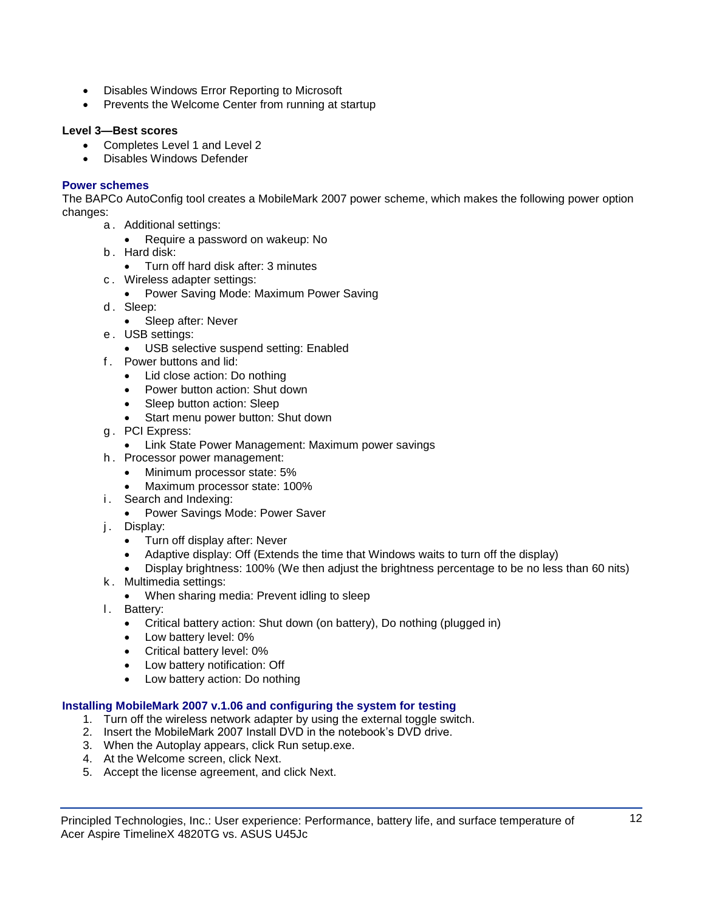- Disables Windows Error Reporting to Microsoft
- Prevents the Welcome Center from running at startup

# **Level 3—Best scores**

- Completes Level 1 and Level 2
- Disables Windows Defender

# **Power schemes**

The BAPCo AutoConfig tool creates a MobileMark 2007 power scheme, which makes the following power option changes:

- a . Additional settings:
	- Require a password on wakeup: No
- b . Hard disk:
	- Turn off hard disk after: 3 minutes
- c . Wireless adapter settings:
	- Power Saving Mode: Maximum Power Saving
- d. Sleep:
	- Sleep after: Never
- e . USB settings:
	- USB selective suspend setting: Enabled
- f . Power buttons and lid:
	- Lid close action: Do nothing
	- Power button action: Shut down
	- Sleep button action: Sleep
	- Start menu power button: Shut down
- g . PCI Express:
	- Link State Power Management: Maximum power savings
- h . Processor power management:
	- Minimum processor state: 5%
	- Maximum processor state: 100%
- i. Search and Indexing:
	- Power Savings Mode: Power Saver
- j. Display:
	- Turn off display after: Never
	- Adaptive display: Off (Extends the time that Windows waits to turn off the display)
	- Display brightness: 100% (We then adjust the brightness percentage to be no less than 60 nits)
- k . Multimedia settings:
	- When sharing media: Prevent idling to sleep
- I. Battery:
	- Critical battery action: Shut down (on battery), Do nothing (plugged in)
	- Low battery level: 0%
	- Critical battery level: 0%
	- Low battery notification: Off
	- Low battery action: Do nothing

# **Installing MobileMark 2007 v.1.06 and configuring the system for testing**

- 1. Turn off the wireless network adapter by using the external toggle switch.
- 2. Insert the MobileMark 2007 Install DVD in the notebook's DVD drive.
- 3. When the Autoplay appears, click Run setup.exe.
- 4. At the Welcome screen, click Next.
- 5. Accept the license agreement, and click Next.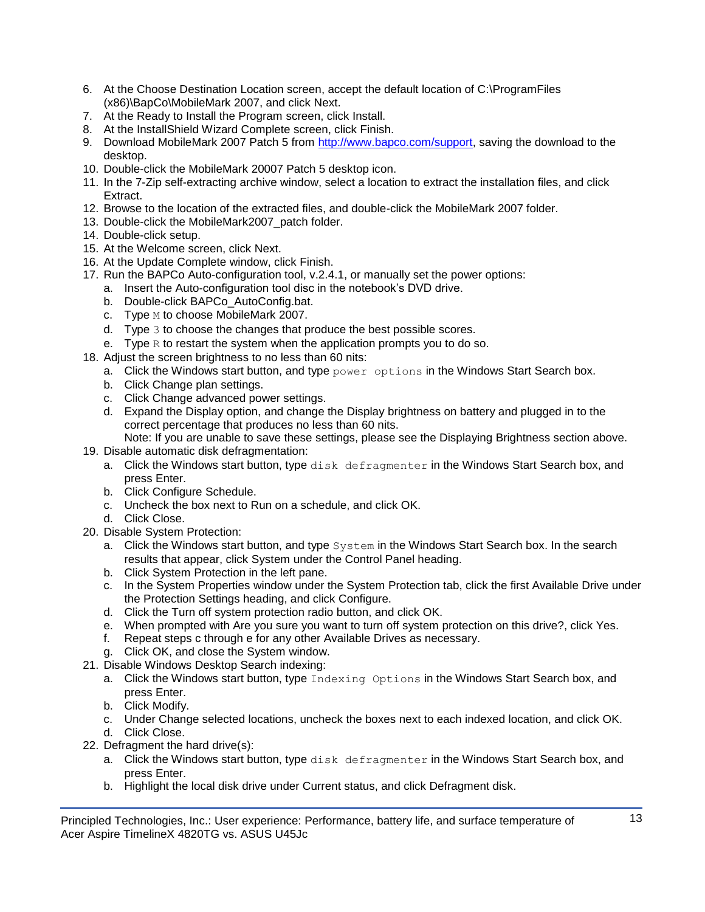- 6. At the Choose Destination Location screen, accept the default location of C:\ProgramFiles (x86)\BapCo\MobileMark 2007, and click Next.
- 7. At the Ready to Install the Program screen, click Install.
- 8. At the InstallShield Wizard Complete screen, click Finish.
- 9. Download MobileMark 2007 Patch 5 from [http://www.bapco.com/support,](http://www.bapco.com/support) saving the download to the desktop.
- 10. Double-click the MobileMark 20007 Patch 5 desktop icon.
- 11. In the 7-Zip self-extracting archive window, select a location to extract the installation files, and click Extract.
- 12. Browse to the location of the extracted files, and double-click the MobileMark 2007 folder.
- 13. Double-click the MobileMark2007\_patch folder.
- 14. Double-click setup.
- 15. At the Welcome screen, click Next.
- 16. At the Update Complete window, click Finish.
- 17. Run the BAPCo Auto-configuration tool, v.2.4.1, or manually set the power options:
	- a. Insert the Auto-configuration tool disc in the notebook's DVD drive.
	- b. Double-click BAPCo\_AutoConfig.bat.
	- c. Type M to choose MobileMark 2007.
	- d. Type 3 to choose the changes that produce the best possible scores.
	- e. Type  $R$  to restart the system when the application prompts you to do so.
- 18. Adjust the screen brightness to no less than 60 nits:
	- a. Click the Windows start button, and type  $power$  options in the Windows Start Search box.
		- b. Click Change plan settings.
		- c. Click Change advanced power settings.
		- d. Expand the Display option, and change the Display brightness on battery and plugged in to the correct percentage that produces no less than 60 nits.
- Note: If you are unable to save these settings, please see the Displaying Brightness section above.
- 19. Disable automatic disk defragmentation:
	- a. Click the Windows start button, type disk defragmenter in the Windows Start Search box, and press Enter.
	- b. Click Configure Schedule.
	- c. Uncheck the box next to Run on a schedule, and click OK.
	- d. Click Close.
- 20. Disable System Protection:
	- a. Click the Windows start button, and type System in the Windows Start Search box. In the search results that appear, click System under the Control Panel heading.
	- b. Click System Protection in the left pane.
	- c. In the System Properties window under the System Protection tab, click the first Available Drive under the Protection Settings heading, and click Configure.
	- d. Click the Turn off system protection radio button, and click OK.
	- e. When prompted with Are you sure you want to turn off system protection on this drive?, click Yes.
	- f. Repeat steps c through e for any other Available Drives as necessary.
	- g. Click OK, and close the System window.
- 21. Disable Windows Desktop Search indexing:
	- a. Click the Windows start button, type Indexing Options in the Windows Start Search box, and press Enter.
	- b. Click Modify.
	- c. Under Change selected locations, uncheck the boxes next to each indexed location, and click OK.
	- d. Click Close.
- 22. Defragment the hard drive(s):
	- a. Click the Windows start button, type disk defragmenter in the Windows Start Search box, and press Enter.
	- b. Highlight the local disk drive under Current status, and click Defragment disk.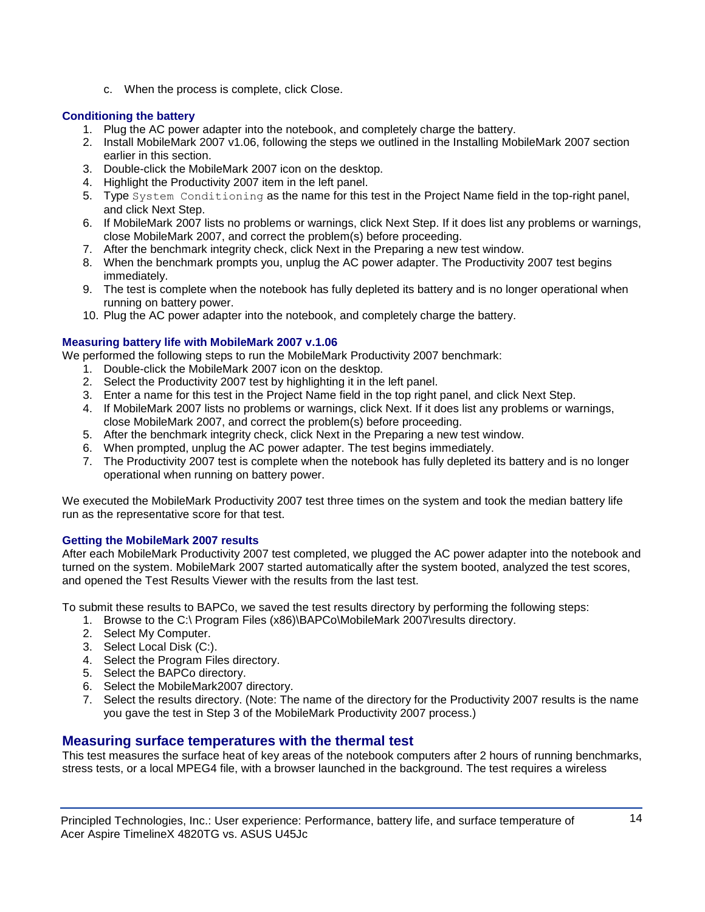c. When the process is complete, click Close.

# **Conditioning the battery**

- 1. Plug the AC power adapter into the notebook, and completely charge the battery.
- 2. Install MobileMark 2007 v1.06, following the steps we outlined in the Installing MobileMark 2007 section earlier in this section.
- 3. Double-click the MobileMark 2007 icon on the desktop.
- 4. Highlight the Productivity 2007 item in the left panel.
- 5. Type System Conditioning as the name for this test in the Project Name field in the top-right panel, and click Next Step.
- 6. If MobileMark 2007 lists no problems or warnings, click Next Step. If it does list any problems or warnings, close MobileMark 2007, and correct the problem(s) before proceeding.
- 7. After the benchmark integrity check, click Next in the Preparing a new test window.
- 8. When the benchmark prompts you, unplug the AC power adapter. The Productivity 2007 test begins immediately.
- 9. The test is complete when the notebook has fully depleted its battery and is no longer operational when running on battery power.
- 10. Plug the AC power adapter into the notebook, and completely charge the battery.

# **Measuring battery life with MobileMark 2007 v.1.06**

We performed the following steps to run the MobileMark Productivity 2007 benchmark:

- 1. Double-click the MobileMark 2007 icon on the desktop.
- 2. Select the Productivity 2007 test by highlighting it in the left panel.
- 3. Enter a name for this test in the Project Name field in the top right panel, and click Next Step.
- 4. If MobileMark 2007 lists no problems or warnings, click Next. If it does list any problems or warnings, close MobileMark 2007, and correct the problem(s) before proceeding.
- 5. After the benchmark integrity check, click Next in the Preparing a new test window.
- 6. When prompted, unplug the AC power adapter. The test begins immediately.
- 7. The Productivity 2007 test is complete when the notebook has fully depleted its battery and is no longer operational when running on battery power.

We executed the MobileMark Productivity 2007 test three times on the system and took the median battery life run as the representative score for that test.

# **Getting the MobileMark 2007 results**

After each MobileMark Productivity 2007 test completed, we plugged the AC power adapter into the notebook and turned on the system. MobileMark 2007 started automatically after the system booted, analyzed the test scores, and opened the Test Results Viewer with the results from the last test.

To submit these results to BAPCo, we saved the test results directory by performing the following steps:

- 1. Browse to the C:\ Program Files (x86)\BAPCo\MobileMark 2007\results directory.
- 2. Select My Computer.
- 3. Select Local Disk (C:).
- 4. Select the Program Files directory.
- 5. Select the BAPCo directory.
- 6. Select the MobileMark2007 directory.
- 7. Select the results directory. (Note: The name of the directory for the Productivity 2007 results is the name you gave the test in Step 3 of the MobileMark Productivity 2007 process.)

# **Measuring surface temperatures with the thermal test**

This test measures the surface heat of key areas of the notebook computers after 2 hours of running benchmarks, stress tests, or a local MPEG4 file, with a browser launched in the background. The test requires a wireless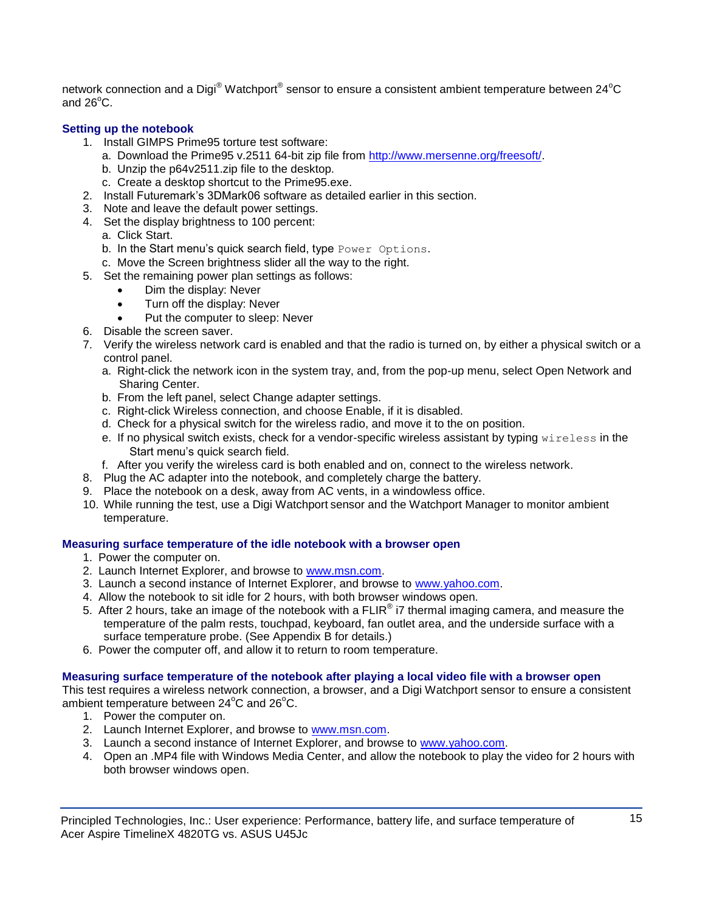network connection and a Digi $^{\circledast}$  Watchport $^{\circledast}$  sensor to ensure a consistent ambient temperature between 24 $^{\circ}$ C and  $26^{\circ}$ C.

# **Setting up the notebook**

- 1. Install GIMPS Prime95 torture test software:
	- a. Download the Prime95 v.2511 64-bit zip file from [http://www.mersenne.org/freesoft/.](http://www.mersenne.org/freesoft/)
	- b. Unzip the p64v2511.zip file to the desktop.
	- c. Create a desktop shortcut to the Prime95.exe.
- 2. Install Futuremark's 3DMark06 software as detailed earlier in this section.
- 3. Note and leave the default power settings.
- 4. Set the display brightness to 100 percent:
	- a. Click Start.
	- b. In the Start menu's quick search field, type Power Options.
- c. Move the Screen brightness slider all the way to the right.
- 5. Set the remaining power plan settings as follows:
	- Dim the display: Never
	- Turn off the display: Never
	- Put the computer to sleep: Never
- 6. Disable the screen saver.
- 7. Verify the wireless network card is enabled and that the radio is turned on, by either a physical switch or a control panel.
	- a. Right-click the network icon in the system tray, and, from the pop-up menu, select Open Network and Sharing Center.
	- b. From the left panel, select Change adapter settings.
	- c. Right-click Wireless connection, and choose Enable, if it is disabled.
	- d. Check for a physical switch for the wireless radio, and move it to the on position.
	- e. If no physical switch exists, check for a vendor-specific wireless assistant by typing wireless in the Start menu's quick search field.
	- f. After you verify the wireless card is both enabled and on, connect to the wireless network.
- 8. Plug the AC adapter into the notebook, and completely charge the battery.
- 9. Place the notebook on a desk, away from AC vents, in a windowless office.
- 10. While running the test, use a Digi Watchport sensor and the Watchport Manager to monitor ambient temperature.

# **Measuring surface temperature of the idle notebook with a browser open**

- 1. Power the computer on.
- 2. Launch Internet Explorer, and browse to [www.msn.com.](http://www.msn.com/)
- 3. Launch a second instance of Internet Explorer, and browse to [www.yahoo.com.](http://www.yahoo.com/)
- 4. Allow the notebook to sit idle for 2 hours, with both browser windows open.
- 5. After 2 hours, take an image of the notebook with a FLIR $^{\circ}$  i7 thermal imaging camera, and measure the temperature of the palm rests, touchpad, keyboard, fan outlet area, and the underside surface with a surface temperature probe. (See Appendix B for details.)
- 6. Power the computer off, and allow it to return to room temperature.

# **Measuring surface temperature of the notebook after playing a local video file with a browser open**

This test requires a wireless network connection, a browser, and a Digi Watchport sensor to ensure a consistent ambient temperature between  $24^{\circ}$ C and  $26^{\circ}$ C.

- 1. Power the computer on.
- 2. Launch Internet Explorer, and browse to [www.msn.com.](http://www.msn.com/)
- 3. Launch a second instance of Internet Explorer, and browse to [www.yahoo.com.](http://www.yahoo.com/)
- 4. Open an .MP4 file with Windows Media Center, and allow the notebook to play the video for 2 hours with both browser windows open.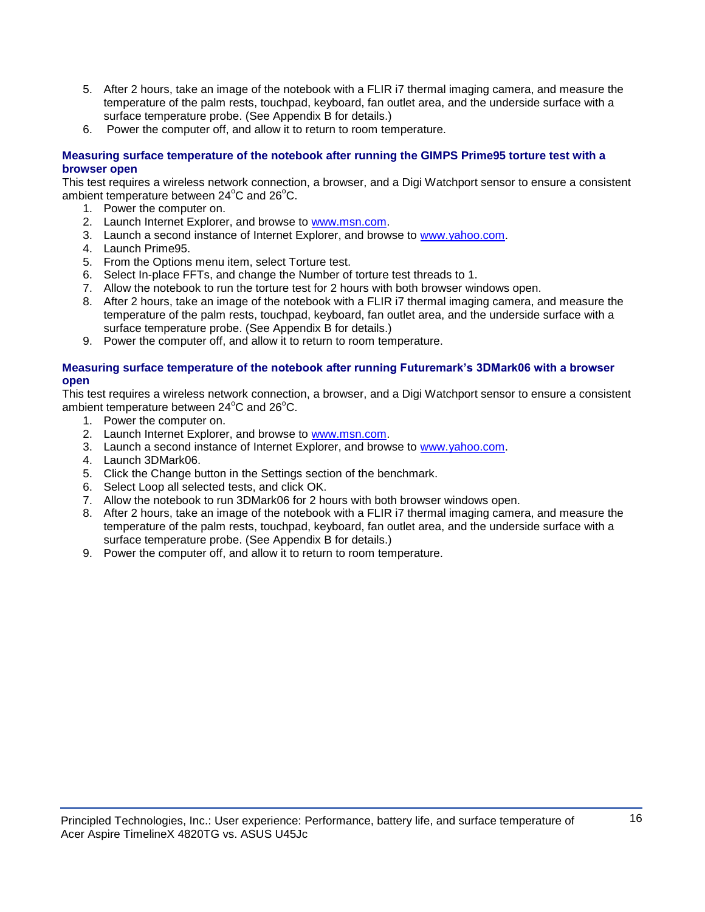- 5. After 2 hours, take an image of the notebook with a FLIR i7 thermal imaging camera, and measure the temperature of the palm rests, touchpad, keyboard, fan outlet area, and the underside surface with a surface temperature probe. (See Appendix B for details.)
- 6. Power the computer off, and allow it to return to room temperature.

# **Measuring surface temperature of the notebook after running the GIMPS Prime95 torture test with a browser open**

This test requires a wireless network connection, a browser, and a Digi Watchport sensor to ensure a consistent ambient temperature between  $24^{\circ}$ C and  $26^{\circ}$ C.

- 1. Power the computer on.
- 2. Launch Internet Explorer, and browse to [www.msn.com.](http://www.msn.com/)
- 3. Launch a second instance of Internet Explorer, and browse to [www.yahoo.com.](http://www.yahoo.com/)
- 4. Launch Prime95.
- 5. From the Options menu item, select Torture test.
- 6. Select In-place FFTs, and change the Number of torture test threads to 1.
- 7. Allow the notebook to run the torture test for 2 hours with both browser windows open.
- 8. After 2 hours, take an image of the notebook with a FLIR i7 thermal imaging camera, and measure the temperature of the palm rests, touchpad, keyboard, fan outlet area, and the underside surface with a surface temperature probe. (See Appendix B for details.)
- 9. Power the computer off, and allow it to return to room temperature.

# **Measuring surface temperature of the notebook after running Futuremark's 3DMark06 with a browser open**

This test requires a wireless network connection, a browser, and a Digi Watchport sensor to ensure a consistent ambient temperature between  $24^{\circ}$ C and  $26^{\circ}$ C.

- 1. Power the computer on.
- 2. Launch Internet Explorer, and browse to [www.msn.com.](http://www.msn.com/)
- 3. Launch a second instance of Internet Explorer, and browse to [www.yahoo.com.](http://www.yahoo.com/)
- 4. Launch 3DMark06.
- 5. Click the Change button in the Settings section of the benchmark.
- 6. Select Loop all selected tests, and click OK.
- 7. Allow the notebook to run 3DMark06 for 2 hours with both browser windows open.
- 8. After 2 hours, take an image of the notebook with a FLIR i7 thermal imaging camera, and measure the temperature of the palm rests, touchpad, keyboard, fan outlet area, and the underside surface with a surface temperature probe. (See Appendix B for details.)
- 9. Power the computer off, and allow it to return to room temperature.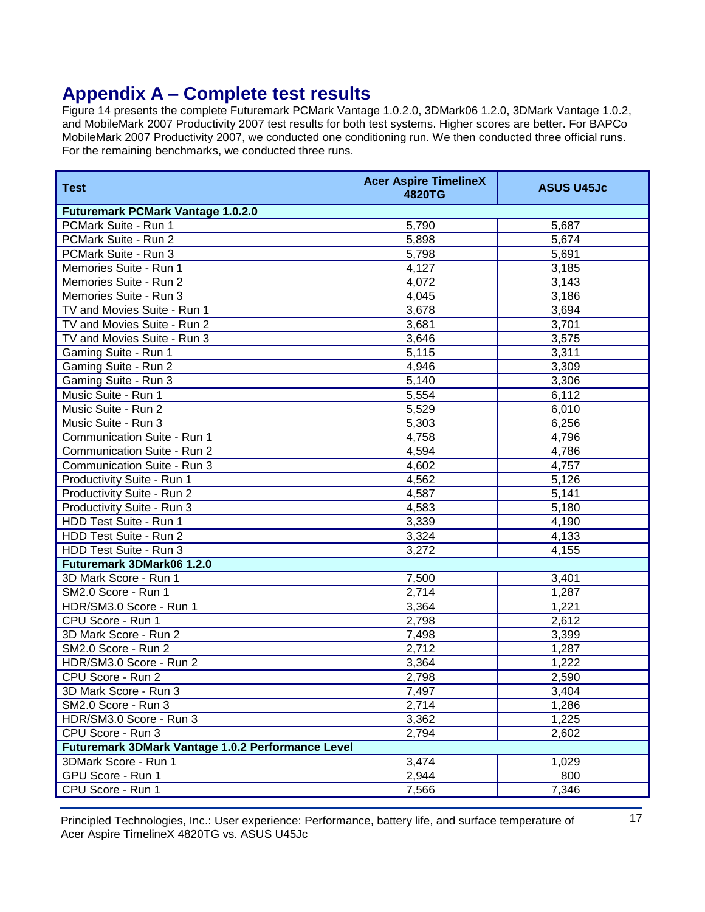# **Appendix A – Complete test results**

Figure 14 presents the complete Futuremark PCMark Vantage 1.0.2.0, 3DMark06 1.2.0, 3DMark Vantage 1.0.2, and MobileMark 2007 Productivity 2007 test results for both test systems. Higher scores are better. For BAPCo MobileMark 2007 Productivity 2007, we conducted one conditioning run. We then conducted three official runs. For the remaining benchmarks, we conducted three runs.

| <b>Test</b>                                       | <b>Acer Aspire TimelineX</b><br>4820TG | <b>ASUS U45Jc</b> |  |  |
|---------------------------------------------------|----------------------------------------|-------------------|--|--|
| <b>Futuremark PCMark Vantage 1.0.2.0</b>          |                                        |                   |  |  |
| PCMark Suite - Run 1                              | 5,790                                  | 5,687             |  |  |
| PCMark Suite - Run 2                              | 5,898                                  | 5,674             |  |  |
| PCMark Suite - Run 3                              | 5,798                                  | 5,691             |  |  |
| Memories Suite - Run 1                            | 4,127                                  | 3,185             |  |  |
| Memories Suite - Run 2                            | 4,072                                  | 3,143             |  |  |
| Memories Suite - Run 3                            | 4,045                                  | 3,186             |  |  |
| TV and Movies Suite - Run 1                       | 3,678                                  | 3,694             |  |  |
| TV and Movies Suite - Run 2                       | 3,681                                  | 3,701             |  |  |
| TV and Movies Suite - Run 3                       | 3,646                                  | 3,575             |  |  |
| Gaming Suite - Run 1                              | 5,115                                  | 3,311             |  |  |
| Gaming Suite - Run 2                              | 4,946                                  | 3,309             |  |  |
| Gaming Suite - Run 3                              | 5,140                                  | 3,306             |  |  |
| Music Suite - Run 1                               | 5,554                                  | 6,112             |  |  |
| Music Suite - Run 2                               | 5,529                                  | 6,010             |  |  |
| Music Suite - Run 3                               | 5,303                                  | 6,256             |  |  |
| Communication Suite - Run 1                       | 4,758                                  | 4,796             |  |  |
| Communication Suite - Run 2                       | 4,594                                  | 4,786             |  |  |
| Communication Suite - Run 3                       | 4,602                                  | 4,757             |  |  |
| Productivity Suite - Run 1                        | 4,562                                  | 5,126             |  |  |
| Productivity Suite - Run 2                        | 4,587                                  | 5,141             |  |  |
| Productivity Suite - Run 3                        | 4,583                                  | 5,180             |  |  |
| HDD Test Suite - Run 1                            | 3,339                                  | 4,190             |  |  |
| HDD Test Suite - Run 2                            | 3,324                                  | 4,133             |  |  |
| HDD Test Suite - Run 3                            | 3,272                                  | 4,155             |  |  |
| Futuremark 3DMark06 1.2.0                         |                                        |                   |  |  |
| 3D Mark Score - Run 1                             | 7,500                                  | 3,401             |  |  |
| SM2.0 Score - Run 1                               | 2,714                                  | 1,287             |  |  |
| HDR/SM3.0 Score - Run 1                           | 3,364                                  | 1,221             |  |  |
| CPU Score - Run 1                                 | 2,798                                  | 2,612             |  |  |
| 3D Mark Score - Run 2                             | 7,498                                  | 3,399             |  |  |
| SM2.0 Score - Run 2                               | 2,712                                  | 1,287             |  |  |
| HDR/SM3.0 Score - Run 2                           | 3,364                                  | 1,222             |  |  |
| CPU Score - Run 2                                 | 2,798                                  | 2,590             |  |  |
| 3D Mark Score - Run 3                             | 7,497                                  | 3,404             |  |  |
| SM2.0 Score - Run 3                               | 2,714                                  | 1,286             |  |  |
| HDR/SM3.0 Score - Run 3                           | 3,362                                  | 1,225             |  |  |
| CPU Score - Run 3                                 | 2,794                                  | 2,602             |  |  |
| Futuremark 3DMark Vantage 1.0.2 Performance Level |                                        |                   |  |  |
| 3DMark Score - Run 1                              | 3,474                                  | 1,029             |  |  |
| GPU Score - Run 1                                 | 2,944                                  | 800               |  |  |
| CPU Score - Run 1                                 | 7,566                                  | 7,346             |  |  |
|                                                   |                                        |                   |  |  |

Principled Technologies, Inc.: User experience: Performance, battery life, and surface temperature of 17 Acer Aspire TimelineX 4820TG vs. ASUS U45Jc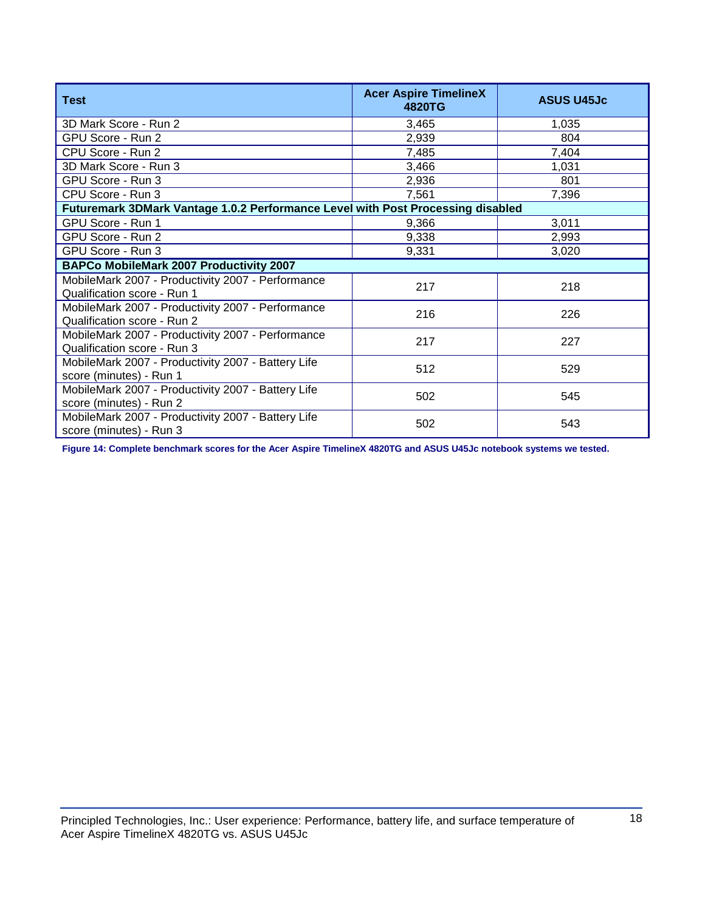| <b>Test</b>                                                                      | <b>Acer Aspire TimelineX</b><br>4820TG | <b>ASUS U45Jc</b> |  |
|----------------------------------------------------------------------------------|----------------------------------------|-------------------|--|
| 3D Mark Score - Run 2                                                            | 3,465                                  | 1,035             |  |
| GPU Score - Run 2                                                                | 2,939                                  | 804               |  |
| CPU Score - Run 2                                                                | 7,485                                  | 7,404             |  |
| 3D Mark Score - Run 3                                                            | 3,466                                  | 1,031             |  |
| GPU Score - Run 3                                                                | 2,936                                  | 801               |  |
| CPU Score - Run 3                                                                | 7,561                                  | 7,396             |  |
| Futuremark 3DMark Vantage 1.0.2 Performance Level with Post Processing disabled  |                                        |                   |  |
| GPU Score - Run 1                                                                | 9,366                                  | 3,011             |  |
| GPU Score - Run 2                                                                | 9,338                                  | 2,993             |  |
| GPU Score - Run 3                                                                | 9,331                                  | 3,020             |  |
| <b>BAPCo MobileMark 2007 Productivity 2007</b>                                   |                                        |                   |  |
| MobileMark 2007 - Productivity 2007 - Performance<br>Qualification score - Run 1 | 217                                    | 218               |  |
| MobileMark 2007 - Productivity 2007 - Performance<br>Qualification score - Run 2 | 216                                    | 226               |  |
| MobileMark 2007 - Productivity 2007 - Performance<br>Qualification score - Run 3 | 217                                    | 227               |  |
| MobileMark 2007 - Productivity 2007 - Battery Life<br>score (minutes) - Run 1    | 512                                    | 529               |  |
| MobileMark 2007 - Productivity 2007 - Battery Life<br>score (minutes) - Run 2    | 502                                    | 545               |  |
| MobileMark 2007 - Productivity 2007 - Battery Life<br>score (minutes) - Run 3    | 502                                    | 543               |  |

**Figure 14: Complete benchmark scores for the Acer Aspire TimelineX 4820TG and ASUS U45Jc notebook systems we tested.**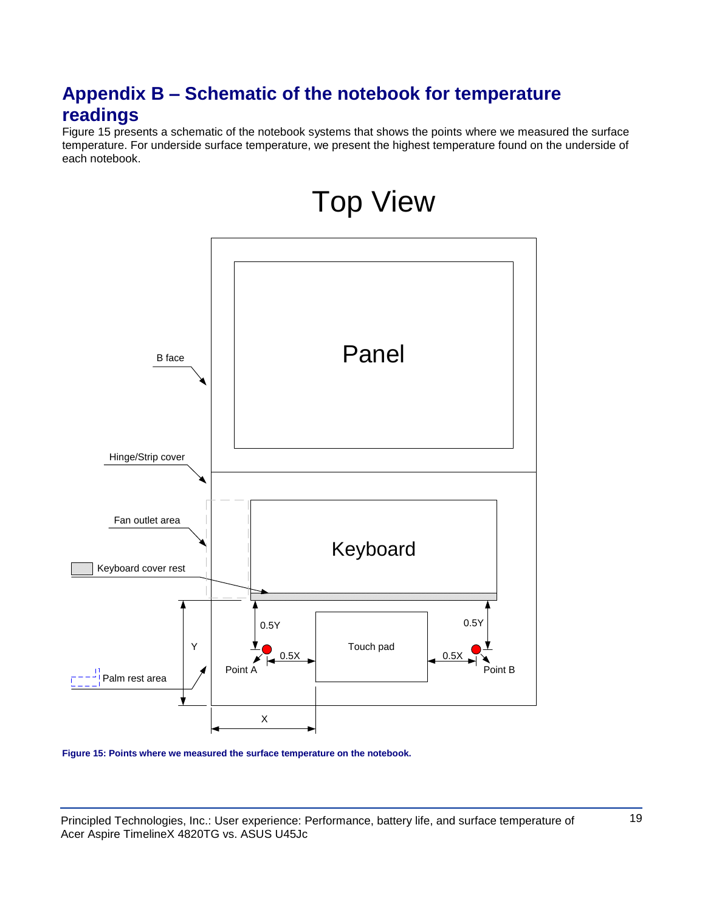# **Appendix B – Schematic of the notebook for temperature readings**

Figure 15 presents a schematic of the notebook systems that shows the points where we measured the surface temperature. For underside surface temperature, we present the highest temperature found on the underside of each notebook.



Top View

**Figure 15: Points where we measured the surface temperature on the notebook.** 

Principled Technologies, Inc.: User experience: Performance, battery life, and surface temperature of 19 Acer Aspire TimelineX 4820TG vs. ASUS U45Jc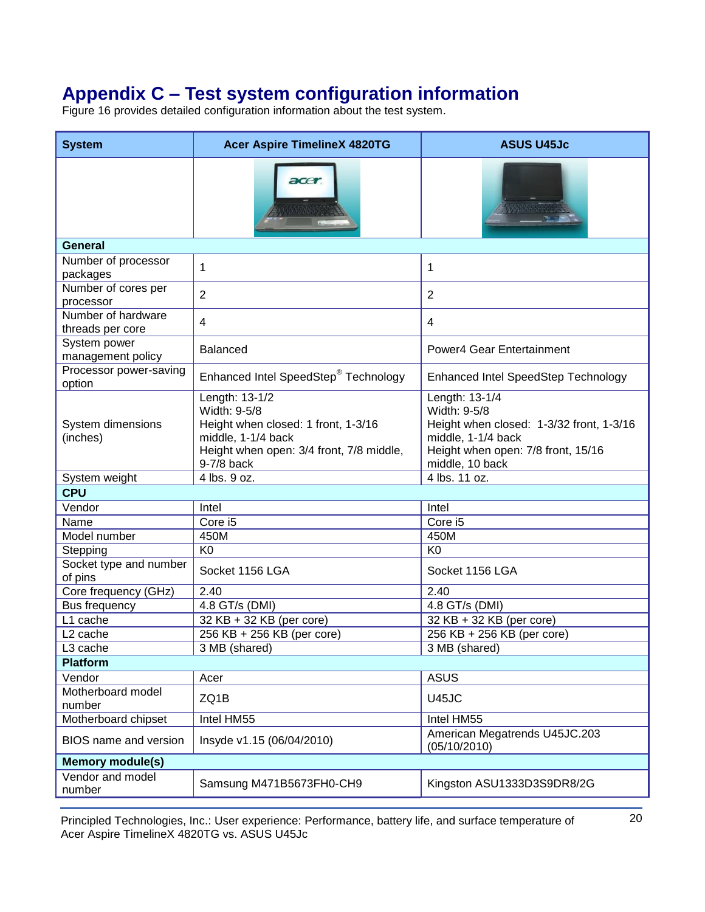# **Appendix C – Test system configuration information**

Figure 16 provides detailed configuration information about the test system.

| <b>System</b>                          | <b>Acer Aspire TimelineX 4820TG</b>                                                                                                                   | <b>ASUS U45Jc</b>                                                                                                                                         |
|----------------------------------------|-------------------------------------------------------------------------------------------------------------------------------------------------------|-----------------------------------------------------------------------------------------------------------------------------------------------------------|
|                                        | acer                                                                                                                                                  |                                                                                                                                                           |
| <b>General</b>                         |                                                                                                                                                       |                                                                                                                                                           |
| Number of processor<br>packages        | 1                                                                                                                                                     | 1                                                                                                                                                         |
| Number of cores per<br>processor       | $\overline{2}$                                                                                                                                        | $\overline{2}$                                                                                                                                            |
| Number of hardware<br>threads per core | 4                                                                                                                                                     | 4                                                                                                                                                         |
| System power<br>management policy      | <b>Balanced</b>                                                                                                                                       | Power4 Gear Entertainment                                                                                                                                 |
| Processor power-saving<br>option       | Enhanced Intel SpeedStep <sup>®</sup> Technology                                                                                                      | <b>Enhanced Intel SpeedStep Technology</b>                                                                                                                |
| System dimensions<br>(inches)          | Length: 13-1/2<br>Width: 9-5/8<br>Height when closed: 1 front, 1-3/16<br>middle, 1-1/4 back<br>Height when open: 3/4 front, 7/8 middle,<br>9-7/8 back | Length: 13-1/4<br>Width: 9-5/8<br>Height when closed: 1-3/32 front, 1-3/16<br>middle, 1-1/4 back<br>Height when open: 7/8 front, 15/16<br>middle, 10 back |
| System weight                          | 4 lbs. 9 oz.                                                                                                                                          | 4 lbs. 11 oz.                                                                                                                                             |
| <b>CPU</b>                             |                                                                                                                                                       |                                                                                                                                                           |
| Vendor                                 | Intel                                                                                                                                                 | Intel                                                                                                                                                     |
| Name                                   | Core i5                                                                                                                                               | Core i5                                                                                                                                                   |
| Model number                           | 450M                                                                                                                                                  | 450M                                                                                                                                                      |
| Stepping                               | K <sub>0</sub>                                                                                                                                        | K <sub>0</sub>                                                                                                                                            |
| Socket type and number<br>of pins      | Socket 1156 LGA                                                                                                                                       | Socket 1156 LGA                                                                                                                                           |
| Core frequency (GHz)                   | 2.40                                                                                                                                                  | 2.40                                                                                                                                                      |
| <b>Bus frequency</b>                   | 4.8 GT/s (DMI)                                                                                                                                        | 4.8 GT/s (DMI)                                                                                                                                            |
| L1 cache                               | 32 KB + 32 KB (per core)                                                                                                                              | 32 KB + 32 KB (per core)                                                                                                                                  |
| L <sub>2</sub> cache                   | 256 KB + 256 KB (per core)                                                                                                                            | 256 KB + 256 KB (per core)                                                                                                                                |
| L3 cache                               | 3 MB (shared)                                                                                                                                         | 3 MB (shared)                                                                                                                                             |
| <b>Platform</b>                        |                                                                                                                                                       |                                                                                                                                                           |
| Vendor                                 | Acer                                                                                                                                                  | <b>ASUS</b>                                                                                                                                               |
| Motherboard model<br>number            | ZQ1B                                                                                                                                                  | <b>U45JC</b>                                                                                                                                              |
| Motherboard chipset                    | Intel HM55                                                                                                                                            | Intel HM55                                                                                                                                                |
| BIOS name and version                  | Insyde v1.15 (06/04/2010)                                                                                                                             | American Megatrends U45JC.203<br>(05/10/2010)                                                                                                             |
| <b>Memory module(s)</b>                |                                                                                                                                                       |                                                                                                                                                           |
| Vendor and model<br>number             | Samsung M471B5673FH0-CH9                                                                                                                              | Kingston ASU1333D3S9DR8/2G                                                                                                                                |

Principled Technologies, Inc.: User experience: Performance, battery life, and surface temperature of 20 Acer Aspire TimelineX 4820TG vs. ASUS U45Jc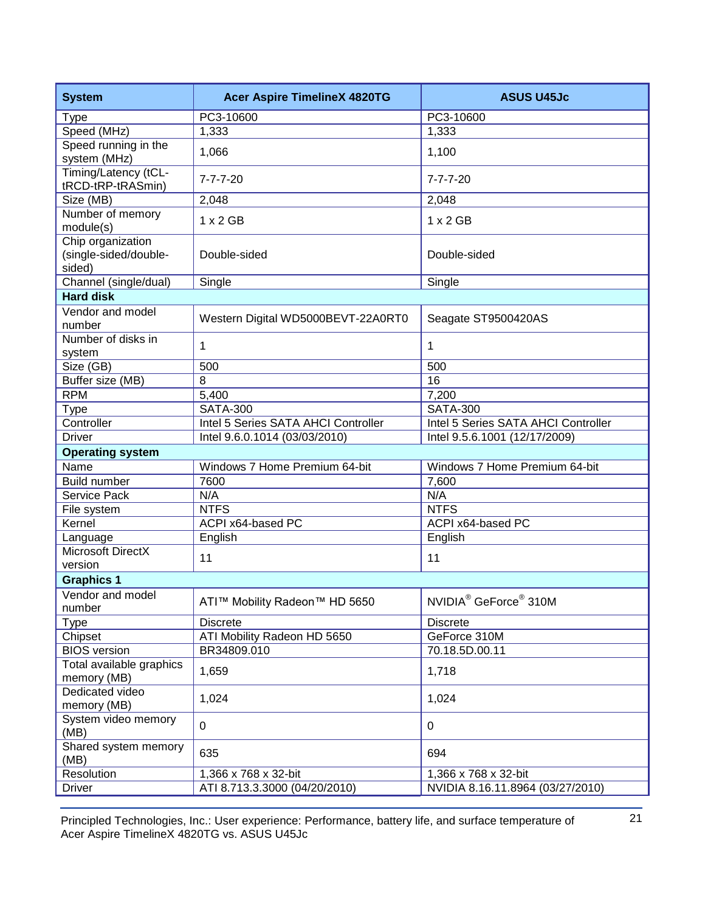| <b>System</b>                                        | <b>Acer Aspire TimelineX 4820TG</b> | <b>ASUS U45Jc</b>                             |
|------------------------------------------------------|-------------------------------------|-----------------------------------------------|
| <b>Type</b>                                          | PC3-10600                           | PC3-10600                                     |
| Speed (MHz)                                          | 1,333                               | 1,333                                         |
| Speed running in the<br>system (MHz)                 | 1,066                               | 1,100                                         |
| Timing/Latency (tCL-<br>tRCD-tRP-tRASmin)            | $7 - 7 - 7 - 20$                    | $7 - 7 - 7 - 20$                              |
| Size (MB)                                            | 2,048                               | 2,048                                         |
| Number of memory<br>module(s)                        | $1 \times 2$ GB                     | $1 \times 2$ GB                               |
| Chip organization<br>(single-sided/double-<br>sided) | Double-sided                        | Double-sided                                  |
| Channel (single/dual)                                | Single                              | Single                                        |
| <b>Hard disk</b>                                     |                                     |                                               |
| Vendor and model<br>number                           | Western Digital WD5000BEVT-22A0RT0  | Seagate ST9500420AS                           |
| Number of disks in<br>system                         | 1                                   | 1                                             |
| Size (GB)                                            | 500                                 | 500                                           |
| Buffer size (MB)                                     | 8                                   | 16                                            |
| <b>RPM</b>                                           | 5,400                               | 7,200                                         |
| <b>Type</b>                                          | <b>SATA-300</b>                     | <b>SATA-300</b>                               |
| Controller                                           | Intel 5 Series SATA AHCI Controller | Intel 5 Series SATA AHCI Controller           |
| <b>Driver</b>                                        | Intel 9.6.0.1014 (03/03/2010)       | Intel 9.5.6.1001 (12/17/2009)                 |
| <b>Operating system</b>                              |                                     |                                               |
| Name                                                 | Windows 7 Home Premium 64-bit       | Windows 7 Home Premium 64-bit                 |
| <b>Build number</b>                                  | 7600                                | 7,600                                         |
| Service Pack                                         | N/A                                 | N/A                                           |
| File system                                          | <b>NTFS</b>                         | <b>NTFS</b>                                   |
| Kernel                                               | ACPI x64-based PC                   | ACPI x64-based PC                             |
| Language                                             | English                             | English                                       |
| Microsoft DirectX<br>version                         | 11                                  | 11                                            |
| <b>Graphics 1</b>                                    |                                     |                                               |
| Vendor and model<br>number                           | ATI™ Mobility Radeon™ HD 5650       | NVIDIA <sup>®</sup> GeForce <sup>®</sup> 310M |
| <b>Type</b>                                          | <b>Discrete</b>                     | <b>Discrete</b>                               |
| Chipset                                              | ATI Mobility Radeon HD 5650         | GeForce 310M                                  |
| <b>BIOS</b> version                                  | BR34809.010                         | 70.18.5D.00.11                                |
| Total available graphics<br>memory (MB)              | 1,659                               | 1,718                                         |
| Dedicated video<br>memory (MB)                       | 1,024                               | 1,024                                         |
| System video memory<br>(MB)                          | $\mathbf 0$                         | 0                                             |
| Shared system memory<br>(MB)                         |                                     |                                               |
|                                                      | 635                                 | 694                                           |
| Resolution                                           | 1,366 x 768 x 32-bit                | 1,366 x 768 x 32-bit                          |

Principled Technologies, Inc.: User experience: Performance, battery life, and surface temperature of 21 Acer Aspire TimelineX 4820TG vs. ASUS U45Jc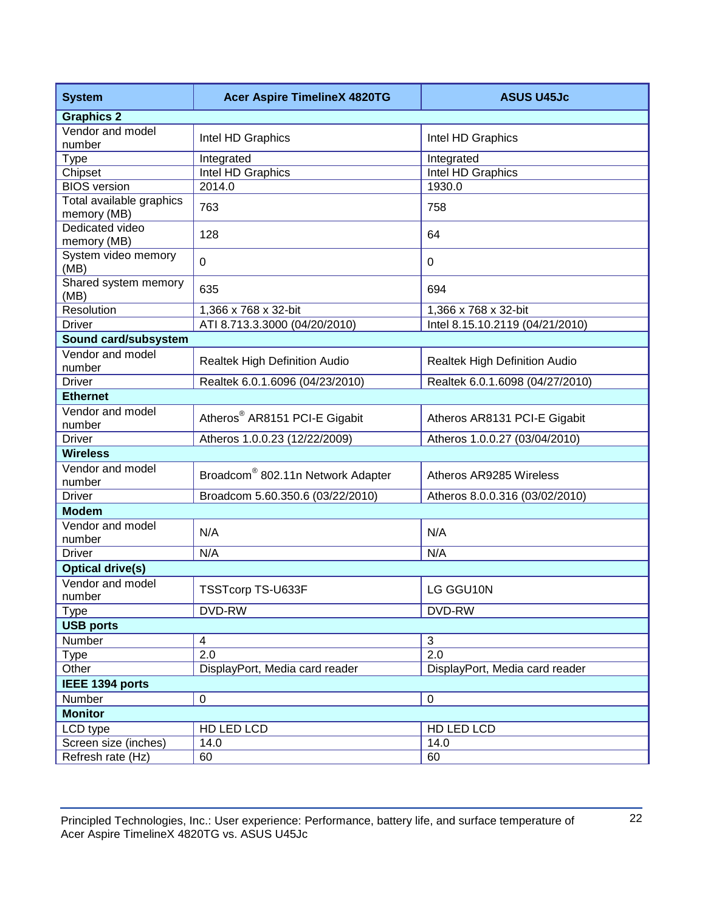| <b>System</b>                           | <b>Acer Aspire TimelineX 4820TG</b>           | <b>ASUS U45Jc</b>                    |
|-----------------------------------------|-----------------------------------------------|--------------------------------------|
| <b>Graphics 2</b>                       |                                               |                                      |
| Vendor and model<br>number              | Intel HD Graphics                             | Intel HD Graphics                    |
| <b>Type</b>                             | Integrated                                    | Integrated                           |
| Chipset                                 | Intel HD Graphics                             | Intel HD Graphics                    |
| <b>BIOS</b> version                     | 2014.0                                        | 1930.0                               |
| Total available graphics<br>memory (MB) | 763                                           | 758                                  |
| Dedicated video<br>memory (MB)          | 128                                           | 64                                   |
| System video memory<br>(MB)             | $\mathbf 0$                                   | 0                                    |
| Shared system memory<br>(MB)            | 635                                           | 694                                  |
| Resolution                              | 1,366 x 768 x 32-bit                          | 1,366 x 768 x 32-bit                 |
| <b>Driver</b>                           | ATI 8.713.3.3000 (04/20/2010)                 | Intel 8.15.10.2119 (04/21/2010)      |
| Sound card/subsystem                    |                                               |                                      |
| Vendor and model<br>number              | Realtek High Definition Audio                 | <b>Realtek High Definition Audio</b> |
| <b>Driver</b>                           | Realtek 6.0.1.6096 (04/23/2010)               | Realtek 6.0.1.6098 (04/27/2010)      |
| <b>Ethernet</b>                         |                                               |                                      |
| Vendor and model<br>number              | Atheros <sup>®</sup> AR8151 PCI-E Gigabit     | Atheros AR8131 PCI-E Gigabit         |
| <b>Driver</b>                           | Atheros 1.0.0.23 (12/22/2009)                 | Atheros 1.0.0.27 (03/04/2010)        |
| <b>Wireless</b>                         |                                               |                                      |
| Vendor and model<br>number              | Broadcom <sup>®</sup> 802.11n Network Adapter | Atheros AR9285 Wireless              |
| <b>Driver</b>                           | Broadcom 5.60.350.6 (03/22/2010)              | Atheros 8.0.0.316 (03/02/2010)       |
| <b>Modem</b>                            |                                               |                                      |
| Vendor and model<br>number              | N/A                                           | N/A                                  |
| <b>Driver</b>                           | N/A                                           | N/A                                  |
| <b>Optical drive(s)</b>                 |                                               |                                      |
| Vendor and model<br>number              | TSSTcorp TS-U633F                             | LG GGU10N                            |
| <b>Type</b>                             | DVD-RW                                        | DVD-RW                               |
| <b>USB ports</b>                        |                                               |                                      |
| Number                                  | 4                                             | 3                                    |
| <b>Type</b>                             | 2.0                                           | $\overline{2.0}$                     |
| Other                                   | DisplayPort, Media card reader                | DisplayPort, Media card reader       |
| IEEE 1394 ports                         |                                               |                                      |
| Number                                  | $\pmb{0}$                                     | 0                                    |
| <b>Monitor</b>                          |                                               |                                      |
| LCD type                                | HD LED LCD                                    | HD LED LCD                           |
| Screen size (inches)                    | 14.0                                          | 14.0                                 |
| Refresh rate (Hz)                       | 60                                            | 60                                   |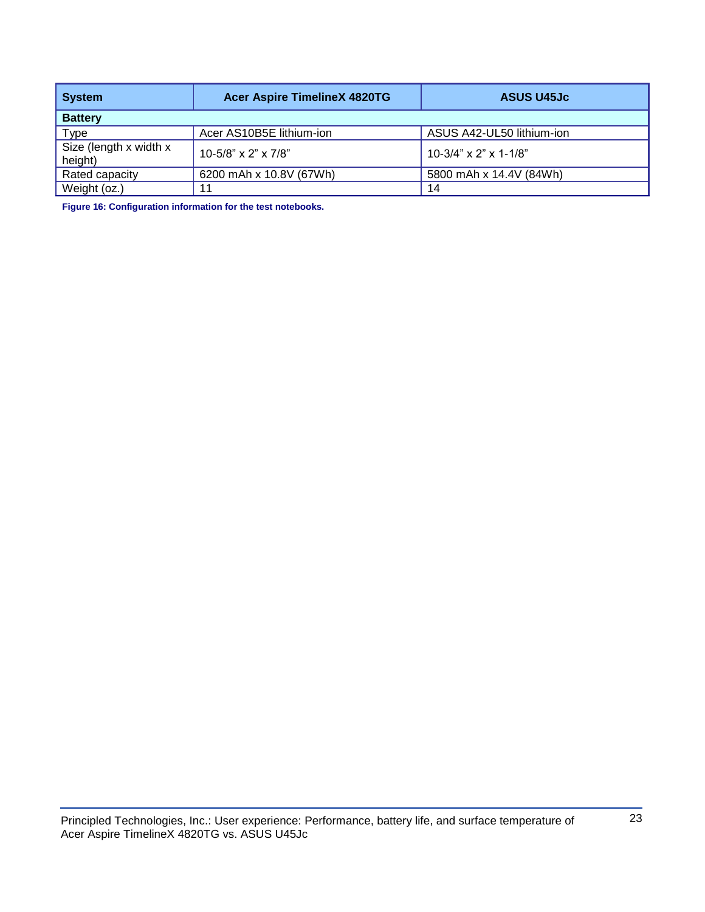| <b>System</b>                     | <b>Acer Aspire TimelineX 4820TG</b> | <b>ASUS U45Jc</b>         |
|-----------------------------------|-------------------------------------|---------------------------|
| <b>Battery</b>                    |                                     |                           |
| Type                              | Acer AS10B5E lithium-ion            | ASUS A42-UL50 lithium-ion |
| Size (length x width x<br>height) | 10-5/8" x 2" x 7/8"                 | $10-3/4$ " x 2" x 1-1/8"  |
| Rated capacity                    | 6200 mAh x 10.8V (67Wh)             | 5800 mAh x 14.4V (84Wh)   |
| Weight (oz.)                      | 11                                  | 14                        |

**Figure 16: Configuration information for the test notebooks.**